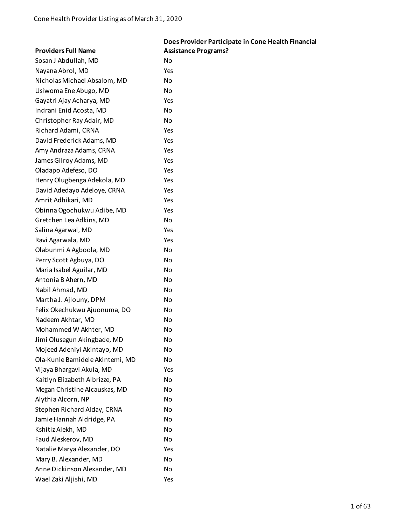|                                 | Does Provider Participate in Cone Health Financial |
|---------------------------------|----------------------------------------------------|
| <b>Providers Full Name</b>      | <b>Assistance Programs?</b>                        |
| Sosan J Abdullah, MD            | No                                                 |
| Nayana Abrol, MD                | Yes                                                |
| Nicholas Michael Absalom, MD    | No                                                 |
| Usiwoma Ene Abugo, MD           | No                                                 |
| Gayatri Ajay Acharya, MD        | Yes                                                |
| Indrani Enid Acosta, MD         | No                                                 |
| Christopher Ray Adair, MD       | No                                                 |
| Richard Adami, CRNA             | Yes                                                |
| David Frederick Adams, MD       | Yes                                                |
| Amy Andraza Adams, CRNA         | Yes                                                |
| James Gilroy Adams, MD          | Yes                                                |
| Oladapo Adefeso, DO             | Yes                                                |
| Henry Olugbenga Adekola, MD     | Yes                                                |
| David Adedayo Adeloye, CRNA     | Yes                                                |
| Amrit Adhikari, MD              | Yes                                                |
| Obinna Ogochukwu Adibe, MD      | Yes                                                |
| Gretchen Lea Adkins, MD         | No                                                 |
| Salina Agarwal, MD              | Yes                                                |
| Ravi Agarwala, MD               | Yes                                                |
| Olabunmi A Agboola, MD          | No                                                 |
| Perry Scott Agbuya, DO          | No                                                 |
| Maria Isabel Aguilar, MD        | No                                                 |
| Antonia B Ahern, MD             | No                                                 |
| Nabil Ahmad, MD                 | No                                                 |
| Martha J. Ajlouny, DPM          | No                                                 |
| Felix Okechukwu Ajuonuma, DO    | No                                                 |
| Nadeem Akhtar, MD               | No                                                 |
| Mohammed W Akhter, MD           | No                                                 |
| Jimi Olusegun Akingbade, MD     | No                                                 |
| Mojeed Adeniyi Akintayo, MD     | No                                                 |
| Ola-Kunle Bamidele Akintemi, MD | No                                                 |
| Vijaya Bhargavi Akula, MD       | Yes                                                |
| Kaitlyn Elizabeth Albrizze, PA  | No                                                 |
| Megan Christine Alcauskas, MD   | No                                                 |
| Alythia Alcorn, NP              | No                                                 |
| Stephen Richard Alday, CRNA     | No                                                 |
| Jamie Hannah Aldridge, PA       | No                                                 |
| Kshitiz Alekh, MD               | No                                                 |
| Faud Aleskerov, MD              | No                                                 |
| Natalie Marya Alexander, DO     | Yes                                                |
| Mary B. Alexander, MD           | No                                                 |
| Anne Dickinson Alexander, MD    | No                                                 |
| Wael Zaki Aljishi, MD           | Yes                                                |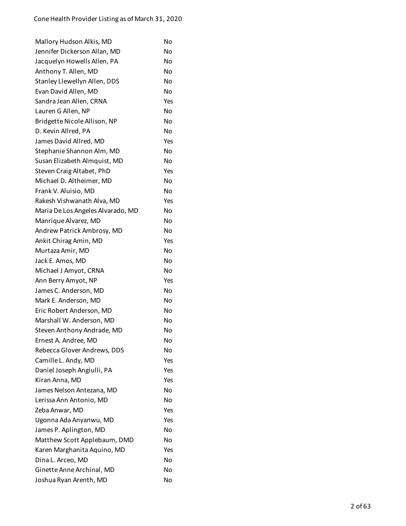| Mallory Hudson Alkis, MD          | No        |
|-----------------------------------|-----------|
| Jennifer Dickerson Allan, MD      | No        |
| Jacquelyn Howells Allen, PA       | No        |
| Anthony T. Allen, MD              | No        |
| Stanley Llewellyn Allen, DDS      | No        |
| Evan David Allen, MD              | No        |
| Sandra Jean Allen, CRNA           | Yes       |
| Lauren G Allen, NP                | No        |
| Bridgette Nicole Allison, NP      | <b>No</b> |
| D. Kevin Allred, PA               | No        |
| James David Allred, MD            | Yes       |
| Stephanie Shannon Alm, MD         | No        |
| Susan Elizabeth Almquist, MD      | No        |
| Steven Craig Altabet, PhD         | Yes       |
| Michael D. Altheimer, MD          | No        |
| Frank V. Aluisio, MD              | No        |
| Rakesh Vishwanath Alva, MD        | Yes       |
| Maria De Los Angeles Alvarado, MD | No        |
| Manrique Alvarez, MD              | <b>No</b> |
| Andrew Patrick Ambrosy, MD        | No        |
| Ankit Chirag Amin, MD             | Yes       |
| Murtaza Amir, MD                  | No        |
| Jack E. Amos, MD                  | No        |
| Michael J Amyot, CRNA             | No        |
| Ann Berry Amyot, NP               | Yes       |
| James C. Anderson, MD             | No        |
| Mark E. Anderson, MD              | No        |
| Eric Robert Anderson, MD          | No        |
| Marshall W. Anderson, MD          | No        |
| Steven Anthony Andrade, MD        | No        |
| Ernest A. Andree, MD              | No        |
| Rebecca Glover Andrews, DDS       | No        |
| Camille L. Andy, MD               | Yes       |
| Daniel Joseph Angiulli, PA        | Yes       |
| Kiran Anna, MD                    | Yes       |
| James Nelson Antezana, MD         | No        |
| Lerissa Ann Antonio, MD           | <b>No</b> |
| Zeba Anwar, MD                    | Yes       |
| Ugonna Ada Anyanwu, MD            | Yes       |
| James P. Aplington, MD            | No        |
| Matthew Scott Applebaum, DMD      | <b>No</b> |
| Karen Marghanita Aquino, MD       | Yes       |
| Dina L. Arceo, MD                 | No        |
| Ginette Anne Archinal, MD         | No        |
| Joshua Ryan Arenth, MD            | No        |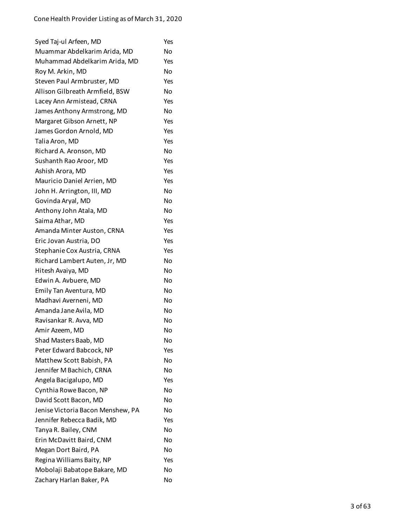| Syed Taj-ul Arfeen, MD            | Yes |
|-----------------------------------|-----|
| Muammar Abdelkarim Arida, MD      | No  |
| Muhammad Abdelkarim Arida, MD     | Yes |
| Roy M. Arkin, MD                  | No  |
| Steven Paul Armbruster, MD        | Yes |
| Allison Gilbreath Armfield, BSW   | No  |
| Lacey Ann Armistead, CRNA         | Yes |
| James Anthony Armstrong, MD       | No  |
| Margaret Gibson Arnett, NP        | Yes |
| James Gordon Arnold, MD           | Yes |
| Talia Aron, MD                    | Yes |
| Richard A. Aronson, MD            | No  |
| Sushanth Rao Aroor, MD            | Yes |
| Ashish Arora, MD                  | Yes |
| Mauricio Daniel Arrien, MD        | Yes |
| John H. Arrington, III, MD        | No  |
| Govinda Aryal, MD                 | No  |
| Anthony John Atala, MD            | No  |
| Saima Athar, MD                   | Yes |
| Amanda Minter Auston, CRNA        | Yes |
| Eric Jovan Austria, DO            | Yes |
| Stephanie Cox Austria, CRNA       | Yes |
| Richard Lambert Auten, Jr, MD     | No  |
| Hitesh Avaiya, MD                 | No  |
| Edwin A. Avbuere, MD              | No  |
| Emily Tan Aventura, MD            | No  |
| Madhavi Averneni, MD              | No  |
| Amanda Jane Avila, MD             | No  |
| Ravisankar R. Avva, MD            | No  |
| Amir Azeem, MD                    | No  |
| Shad Masters Baab, MD             | No  |
| Peter Edward Babcock, NP          | Yes |
| Matthew Scott Babish, PA          | No  |
| Jennifer M Bachich, CRNA          | No  |
| Angela Bacigalupo, MD             | Yes |
| Cynthia Rowe Bacon, NP            | No  |
| David Scott Bacon, MD             | No  |
| Jenise Victoria Bacon Menshew, PA | No  |
| Jennifer Rebecca Badik, MD        | Yes |
| Tanya R. Bailey, CNM              | No  |
| Erin McDavitt Baird, CNM          | No  |
| Megan Dort Baird, PA              | No  |
| Regina Williams Baity, NP         | Yes |
| Mobolaji Babatope Bakare, MD      | No  |
| Zachary Harlan Baker, PA          | No  |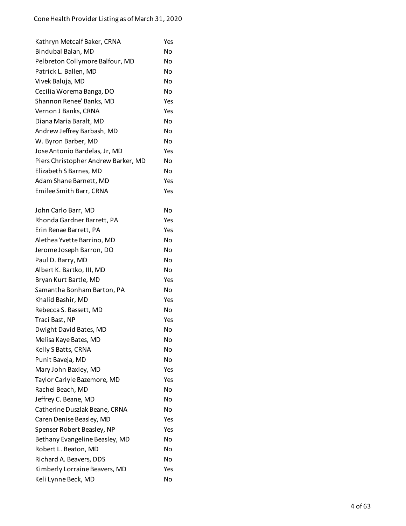| Kathryn Metcalf Baker, CRNA         | Yes       |
|-------------------------------------|-----------|
| Bindubal Balan, MD                  | No        |
| Pelbreton Collymore Balfour, MD     | No        |
| Patrick L. Ballen, MD               | No        |
| Vivek Baluja, MD                    | No        |
| Cecilia Worema Banga, DO            | No        |
| Shannon Renee' Banks, MD            | Yes       |
| Vernon J Banks, CRNA                | Yes       |
| Diana Maria Baralt, MD              | <b>No</b> |
| Andrew Jeffrey Barbash, MD          | No        |
| W. Byron Barber, MD                 | No        |
| Jose Antonio Bardelas, Jr, MD       | Yes       |
| Piers Christopher Andrew Barker, MD | No        |
| Elizabeth S Barnes, MD              | No        |
| Adam Shane Barnett, MD              | Yes       |
| Emilee Smith Barr, CRNA             | Yes       |
|                                     |           |
| John Carlo Barr, MD                 | No        |
| Rhonda Gardner Barrett, PA          | Yes       |
| Erin Renae Barrett, PA              | Yes       |
| Alethea Yvette Barrino, MD          | No        |
| Jerome Joseph Barron, DO            | No        |
| Paul D. Barry, MD                   | No        |
| Albert K. Bartko, III, MD           | No        |
| Bryan Kurt Bartle, MD               | Yes       |
| Samantha Bonham Barton, PA          | No        |
| Khalid Bashir, MD                   | Yes       |
| Rebecca S. Bassett, MD              | No        |
| Traci Bast, NP                      | Yes       |
| Dwight David Bates, MD              | No        |
| Melisa Kaye Bates, MD               | No        |
| Kelly S Batts, CRNA                 | No        |
| Punit Baveja, MD                    | No        |
| Mary John Baxley, MD                | Yes       |
| Taylor Carlyle Bazemore, MD         | Yes       |
| Rachel Beach, MD                    | No        |
| Jeffrey C. Beane, MD                | No        |
| Catherine Duszlak Beane, CRNA       | No        |
| Caren Denise Beasley, MD            | Yes       |
| Spenser Robert Beasley, NP          | Yes       |
| Bethany Evangeline Beasley, MD      | No        |
| Robert L. Beaton, MD                | No        |
| Richard A. Beavers, DDS             | No        |
| Kimberly Lorraine Beavers, MD       | Yes       |
| Keli Lynne Beck, MD                 | No        |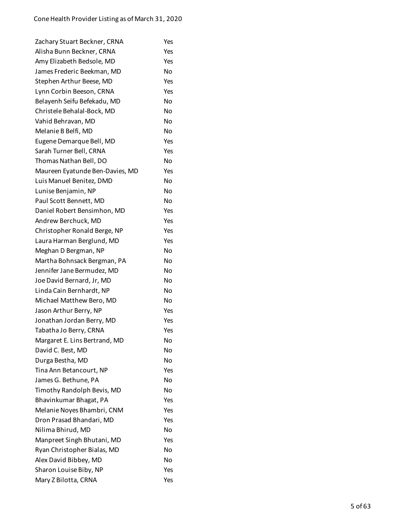| Zachary Stuart Beckner, CRNA    | Yes |
|---------------------------------|-----|
| Alisha Bunn Beckner, CRNA       | Yes |
| Amy Elizabeth Bedsole, MD       | Yes |
| James Frederic Beekman, MD      | No  |
| Stephen Arthur Beese, MD        | Yes |
| Lynn Corbin Beeson, CRNA        | Yes |
| Belayenh Seifu Befekadu, MD     | No  |
| Christele Behalal-Bock, MD      | No  |
| Vahid Behravan, MD              | No  |
| Melanie B Belfi, MD             | No  |
| Eugene Demarque Bell, MD        | Yes |
| Sarah Turner Bell, CRNA         | Yes |
| Thomas Nathan Bell, DO          | No  |
| Maureen Eyatunde Ben-Davies, MD | Yes |
| Luis Manuel Benitez, DMD        | No  |
| Lunise Benjamin, NP             | No  |
| Paul Scott Bennett, MD          | No  |
| Daniel Robert Bensimhon, MD     | Yes |
| Andrew Berchuck, MD             | Yes |
| Christopher Ronald Berge, NP    | Yes |
| Laura Harman Berglund, MD       | Yes |
| Meghan D Bergman, NP            | No  |
| Martha Bohnsack Bergman, PA     | No  |
| Jennifer Jane Bermudez, MD      | No  |
| Joe David Bernard, Jr, MD       | No  |
| Linda Cain Bernhardt, NP        | No  |
| Michael Matthew Bero, MD        | No  |
| Jason Arthur Berry, NP          | Yes |
| Jonathan Jordan Berry, MD       | Yes |
| Tabatha Jo Berry, CRNA          | Yes |
| Margaret E. Lins Bertrand, MD   | No  |
| David C. Best, MD               | No  |
| Durga Bestha, MD                | No  |
| Tina Ann Betancourt, NP         | Yes |
| James G. Bethune, PA            | No  |
| Timothy Randolph Bevis, MD      | No  |
| Bhavinkumar Bhagat, PA          | Yes |
| Melanie Noyes Bhambri, CNM      | Yes |
| Dron Prasad Bhandari, MD        | Yes |
| Nilima Bhirud, MD               | No  |
| Manpreet Singh Bhutani, MD      | Yes |
| Ryan Christopher Bialas, MD     | No  |
| Alex David Bibbey, MD           | No  |
| Sharon Louise Biby, NP          | Yes |
| Mary Z Bilotta, CRNA            | Yes |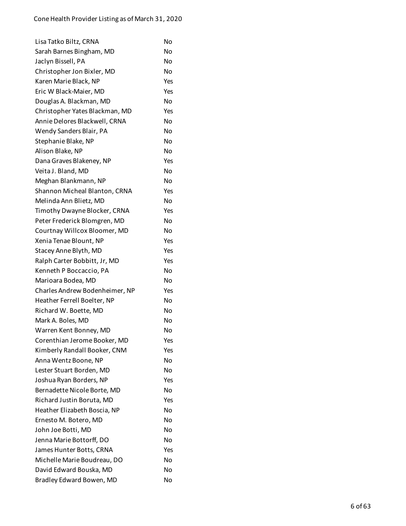| Lisa Tatko Biltz, CRNA         | No  |
|--------------------------------|-----|
| Sarah Barnes Bingham, MD       | No  |
| Jaclyn Bissell, PA             | No  |
| Christopher Jon Bixler, MD     | No  |
| Karen Marie Black, NP          | Yes |
| Eric W Black-Maier, MD         | Yes |
| Douglas A. Blackman, MD        | No  |
| Christopher Yates Blackman, MD | Yes |
| Annie Delores Blackwell, CRNA  | No  |
| Wendy Sanders Blair, PA        | No  |
| Stephanie Blake, NP            | No  |
| Alison Blake, NP               | No  |
| Dana Graves Blakeney, NP       | Yes |
| Veita J. Bland, MD             | No  |
| Meghan Blankmann, NP           | No  |
| Shannon Micheal Blanton, CRNA  | Yes |
| Melinda Ann Blietz, MD         | No  |
| Timothy Dwayne Blocker, CRNA   | Yes |
| Peter Frederick Blomgren, MD   | No  |
| Courtnay Willcox Bloomer, MD   | No  |
| Xenia Tenae Blount, NP         | Yes |
| Stacey Anne Blyth, MD          | Yes |
| Ralph Carter Bobbitt, Jr, MD   | Yes |
| Kenneth P Boccaccio, PA        | No  |
| Marioara Bodea, MD             | No  |
| Charles Andrew Bodenheimer, NP | Yes |
| Heather Ferrell Boelter, NP    | No  |
| Richard W. Boette, MD          | No  |
| Mark A. Boles, MD              | No  |
| Warren Kent Bonney, MD         | No  |
| Corenthian Jerome Booker, MD   | Yes |
| Kimberly Randall Booker, CNM   | Yes |
| Anna Wentz Boone, NP           | No  |
| Lester Stuart Borden, MD       | No  |
| Joshua Ryan Borders, NP        | Yes |
| Bernadette Nicole Borte, MD    | No  |
| Richard Justin Boruta, MD      | Yes |
| Heather Elizabeth Boscia, NP   | No  |
| Ernesto M. Botero, MD          | No  |
| John Joe Botti, MD             | No  |
| Jenna Marie Bottorff, DO       | No  |
| James Hunter Botts, CRNA       | Yes |
| Michelle Marie Boudreau, DO    | No  |
| David Edward Bouska, MD        | No  |
| Bradley Edward Bowen, MD       | No  |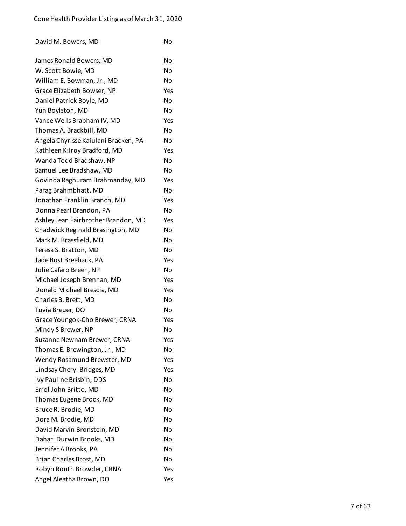| David M. Bowers, MD | No |
|---------------------|----|
|                     |    |

| James Ronald Bowers, MD              | No  |
|--------------------------------------|-----|
| W. Scott Bowie, MD                   | No  |
| William E. Bowman, Jr., MD           | No  |
| Grace Elizabeth Bowser, NP           | Yes |
| Daniel Patrick Boyle, MD             | No  |
| Yun Boylston, MD                     | No  |
| Vance Wells Brabham IV, MD           | Yes |
| Thomas A. Brackbill, MD              | No  |
| Angela Chyrisse Kaiulani Bracken, PA | No  |
| Kathleen Kilroy Bradford, MD         | Yes |
| Wanda Todd Bradshaw, NP              | No  |
| Samuel Lee Bradshaw, MD              | No  |
| Govinda Raghuram Brahmanday, MD      | Yes |
| Parag Brahmbhatt, MD                 | No  |
| Jonathan Franklin Branch, MD         | Yes |
| Donna Pearl Brandon, PA              | No  |
| Ashley Jean Fairbrother Brandon, MD  | Yes |
| Chadwick Reginald Brasington, MD     | No  |
| Mark M. Brassfield, MD               | No  |
| Teresa S. Bratton, MD                | No  |
| Jade Bost Breeback, PA               | Yes |
| Julie Cafaro Breen, NP               | No  |
| Michael Joseph Brennan, MD           | Yes |
| Donald Michael Brescia, MD           | Yes |
| Charles B. Brett, MD                 | No  |
| Tuvia Breuer, DO                     | No  |
| Grace Youngok-Cho Brewer, CRNA       | Yes |
| Mindy S Brewer, NP                   | No  |
| Suzanne Newnam Brewer, CRNA          | Yes |
| Thomas E. Brewington, Jr., MD        | No  |
| Wendy Rosamund Brewster, MD          | Yes |
| Lindsay Cheryl Bridges, MD           | Yes |
| Ivy Pauline Brisbin, DDS             | No  |
| Errol John Britto, MD                | No  |
| Thomas Eugene Brock, MD              | No  |
| Bruce R. Brodie, MD                  | No  |
| Dora M. Brodie, MD                   | No  |
| David Marvin Bronstein, MD           | No  |
| Dahari Durwin Brooks, MD             | No  |
| Jennifer A Brooks, PA                | No  |
| Brian Charles Brost, MD              | No  |
| Robyn Routh Browder, CRNA            | Yes |
| Angel Aleatha Brown, DO              | Yes |
|                                      |     |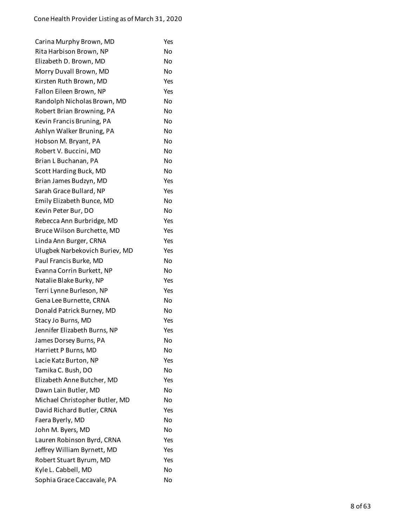| Carina Murphy Brown, MD        | Yes            |
|--------------------------------|----------------|
| Rita Harbison Brown, NP        | No             |
| Elizabeth D. Brown, MD         | No             |
| Morry Duvall Brown, MD         | No             |
| Kirsten Ruth Brown, MD         | Yes            |
| Fallon Eileen Brown, NP        | Yes            |
| Randolph Nicholas Brown, MD    | No             |
| Robert Brian Browning, PA      | No             |
| Kevin Francis Bruning, PA      | No             |
| Ashlyn Walker Bruning, PA      | No             |
| Hobson M. Bryant, PA           | No             |
| Robert V. Buccini, MD          | No             |
| Brian L Buchanan, PA           | No             |
| Scott Harding Buck, MD         | No             |
| Brian James Budzyn, MD         | Yes            |
| Sarah Grace Bullard, NP        | Yes            |
| Emily Elizabeth Bunce, MD      | No             |
| Kevin Peter Bur, DO            | No             |
| Rebecca Ann Burbridge, MD      | Yes            |
| Bruce Wilson Burchette, MD     | Yes            |
| Linda Ann Burger, CRNA         | Yes            |
| Ulugbek Narbekovich Buriev, MD | Yes            |
| Paul Francis Burke, MD         | No             |
| Evanna Corrin Burkett, NP      | No             |
| Natalie Blake Burky, NP        | Yes            |
| Terri Lynne Burleson, NP       | Yes            |
| Gena Lee Burnette, CRNA        | No             |
| Donald Patrick Burney, MD      | No.            |
| Stacy Jo Burns, MD             | Yes            |
| Jennifer Elizabeth Burns, NP   | Yes            |
| James Dorsey Burns, PA         | No             |
| Harriett P Burns, MD           | No             |
| Lacie Katz Burton, NP          | Yes            |
| Tamika C. Bush, DO             | No             |
| Elizabeth Anne Butcher, MD     | Yes            |
| Dawn Lain Butler, MD           | N <sub>0</sub> |
| Michael Christopher Butler, MD | <b>No</b>      |
| David Richard Butler, CRNA     | Yes            |
| Faera Byerly, MD               | No             |
| John M. Byers, MD              | No             |
| Lauren Robinson Byrd, CRNA     | Yes            |
| Jeffrey William Byrnett, MD    | Yes            |
| Robert Stuart Byrum, MD        | Yes            |
| Kyle L. Cabbell, MD            | No             |
| Sophia Grace Caccavale, PA     | No             |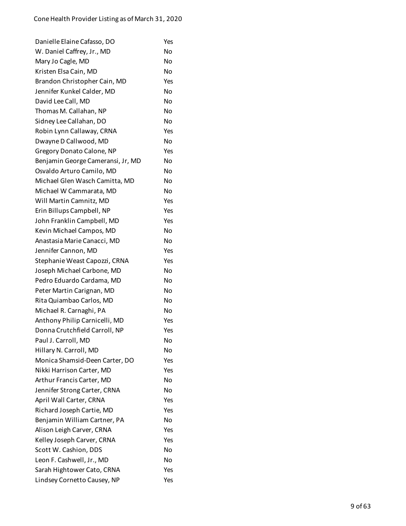| Danielle Elaine Cafasso, DO       | Yes |
|-----------------------------------|-----|
| W. Daniel Caffrey, Jr., MD        | No  |
| Mary Jo Cagle, MD                 | No  |
| Kristen Elsa Cain, MD             | No  |
| Brandon Christopher Cain, MD      | Yes |
| Jennifer Kunkel Calder, MD        | No  |
| David Lee Call, MD                | No  |
| Thomas M. Callahan, NP            | No  |
| Sidney Lee Callahan, DO           | No  |
| Robin Lynn Callaway, CRNA         | Yes |
| Dwayne D Callwood, MD             | No  |
| Gregory Donato Calone, NP         | Yes |
| Benjamin George Cameransi, Jr, MD | No  |
| Osvaldo Arturo Camilo, MD         | No  |
| Michael Glen Wasch Camitta, MD    | No  |
| Michael W Cammarata, MD           | No  |
| Will Martin Camnitz, MD           | Yes |
| Erin Billups Campbell, NP         | Yes |
| John Franklin Campbell, MD        | Yes |
| Kevin Michael Campos, MD          | No  |
| Anastasia Marie Canacci, MD       | No  |
| Jennifer Cannon, MD               | Yes |
| Stephanie Weast Capozzi, CRNA     | Yes |
| Joseph Michael Carbone, MD        | No  |
| Pedro Eduardo Cardama, MD         | No  |
| Peter Martin Carignan, MD         | No  |
| Rita Quiambao Carlos, MD          | No  |
| Michael R. Carnaghi, PA           | No  |
| Anthony Philip Carnicelli, MD     | Yes |
| Donna Crutchfield Carroll, NP     | Yes |
| Paul J. Carroll, MD               | No  |
| Hillary N. Carroll, MD            | No  |
| Monica Shamsid-Deen Carter, DO    | Yes |
| Nikki Harrison Carter, MD         | Yes |
| Arthur Francis Carter, MD         | No  |
| Jennifer Strong Carter, CRNA      | No  |
| April Wall Carter, CRNA           | Yes |
| Richard Joseph Cartie, MD         | Yes |
| Benjamin William Cartner, PA      | No  |
| Alison Leigh Carver, CRNA         | Yes |
| Kelley Joseph Carver, CRNA        | Yes |
| Scott W. Cashion, DDS             | No  |
| Leon F. Cashwell, Jr., MD         | No  |
| Sarah Hightower Cato, CRNA        | Yes |
| Lindsey Cornetto Causey, NP       | Yes |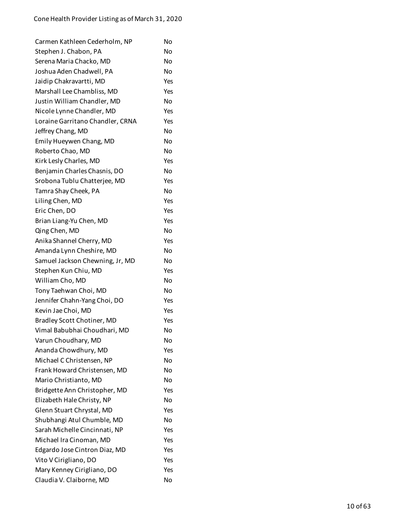| Carmen Kathleen Cederholm, NP    | No        |
|----------------------------------|-----------|
| Stephen J. Chabon, PA            | No        |
| Serena Maria Chacko, MD          | No        |
| Joshua Aden Chadwell, PA         | No        |
| Jaidip Chakravartti, MD          | Yes       |
| Marshall Lee Chambliss, MD       | Yes       |
| Justin William Chandler, MD      | No        |
| Nicole Lynne Chandler, MD        | Yes       |
| Loraine Garritano Chandler, CRNA | Yes       |
| Jeffrey Chang, MD                | No        |
| Emily Hueywen Chang, MD          | No        |
| Roberto Chao, MD                 | No        |
| Kirk Lesly Charles, MD           | Yes       |
| Benjamin Charles Chasnis, DO     | <b>No</b> |
| Srobona Tublu Chatterjee, MD     | Yes       |
| Tamra Shay Cheek, PA             | No        |
| Liling Chen, MD                  | Yes       |
| Eric Chen, DO                    | Yes       |
| Brian Liang-Yu Chen, MD          | Yes       |
| Qing Chen, MD                    | No        |
| Anika Shannel Cherry, MD         | Yes       |
| Amanda Lynn Cheshire, MD         | No        |
| Samuel Jackson Chewning, Jr, MD  | No        |
| Stephen Kun Chiu, MD             | Yes       |
| William Cho, MD                  | No        |
| Tony Taehwan Choi, MD            | No        |
| Jennifer Chahn-Yang Choi, DO     | Yes       |
| Kevin Jae Choi, MD               | Yes       |
| Bradley Scott Chotiner, MD       | Yes       |
| Vimal Babubhai Choudhari, MD     | No        |
| Varun Choudhary, MD              | No        |
| Ananda Chowdhury, MD             | Yes       |
| Michael C Christensen, NP        | No        |
| Frank Howard Christensen, MD     | No        |
| Mario Christianto, MD            | No        |
| Bridgette Ann Christopher, MD    | Yes       |
| Elizabeth Hale Christy, NP       | No        |
| Glenn Stuart Chrystal, MD        | Yes       |
| Shubhangi Atul Chumble, MD       | No        |
| Sarah Michelle Cincinnati, NP    | Yes       |
| Michael Ira Cinoman, MD          | Yes       |
| Edgardo Jose Cintron Diaz, MD    | Yes       |
| Vito V Cirigliano, DO            | Yes       |
| Mary Kenney Cirigliano, DO       | Yes       |
| Claudia V. Claiborne, MD         | No        |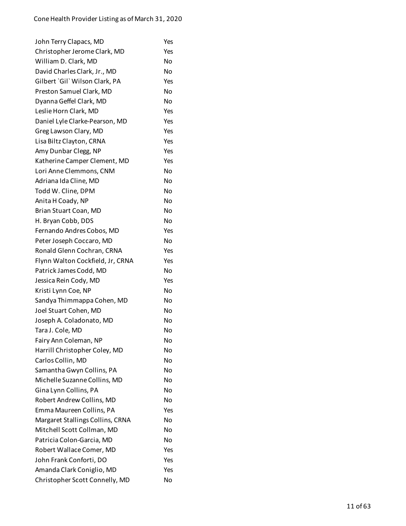| John Terry Clapacs, MD           | Yes       |
|----------------------------------|-----------|
| Christopher Jerome Clark, MD     | Yes       |
| William D. Clark, MD             | No        |
| David Charles Clark, Jr., MD     | <b>No</b> |
| Gilbert `Gil` Wilson Clark, PA   | Yes       |
| Preston Samuel Clark, MD         | No        |
| Dyanna Geffel Clark, MD          | <b>No</b> |
| Leslie Horn Clark, MD            | Yes       |
| Daniel Lyle Clarke-Pearson, MD   | Yes       |
| Greg Lawson Clary, MD            | Yes       |
| Lisa Biltz Clayton, CRNA         | Yes       |
| Amy Dunbar Clegg, NP             | Yes       |
| Katherine Camper Clement, MD     | Yes       |
| Lori Anne Clemmons, CNM          | <b>No</b> |
| Adriana Ida Cline, MD            | <b>No</b> |
| Todd W. Cline, DPM               | No        |
| Anita H Coady, NP                | No        |
| Brian Stuart Coan, MD            | <b>No</b> |
| H. Bryan Cobb, DDS               | No        |
| Fernando Andres Cobos, MD        | Yes       |
| Peter Joseph Coccaro, MD         | No        |
| Ronald Glenn Cochran, CRNA       | Yes       |
| Flynn Walton Cockfield, Jr, CRNA | Yes       |
| Patrick James Codd, MD           | No        |
| Jessica Rein Cody, MD            | Yes       |
| Kristi Lynn Coe, NP              | <b>No</b> |
| Sandya Thimmappa Cohen, MD       | No        |
| Joel Stuart Cohen, MD            | No        |
| Joseph A. Coladonato, MD         | No        |
| Tara J. Cole, MD                 | No        |
| Fairy Ann Coleman, NP            | No        |
| Harrill Christopher Coley, MD    | No        |
| Carlos Collin, MD                | <b>No</b> |
| Samantha Gwyn Collins, PA        | No        |
| Michelle Suzanne Collins, MD     | No        |
| Gina Lynn Collins, PA            | No        |
| Robert Andrew Collins, MD        | <b>No</b> |
| Emma Maureen Collins, PA         | Yes       |
| Margaret Stallings Collins, CRNA | No        |
| Mitchell Scott Collman, MD       | No        |
| Patricia Colon-Garcia, MD        | <b>No</b> |
| Robert Wallace Comer, MD         | Yes       |
| John Frank Conforti, DO          | Yes       |
| Amanda Clark Coniglio, MD        | Yes       |
| Christopher Scott Connelly, MD   | No        |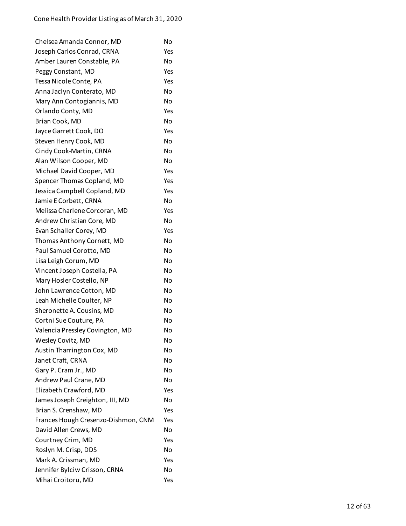| Chelsea Amanda Connor, MD           | No  |
|-------------------------------------|-----|
| Joseph Carlos Conrad, CRNA          | Yes |
| Amber Lauren Constable, PA          | No  |
| Peggy Constant, MD                  | Yes |
| Tessa Nicole Conte, PA              | Yes |
| Anna Jaclyn Conterato, MD           | No  |
| Mary Ann Contogiannis, MD           | No  |
| Orlando Conty, MD                   | Yes |
| Brian Cook, MD                      | No  |
| Jayce Garrett Cook, DO              | Yes |
| Steven Henry Cook, MD               | No  |
| Cindy Cook-Martin, CRNA             | No  |
| Alan Wilson Cooper, MD              | No  |
| Michael David Cooper, MD            | Yes |
| Spencer Thomas Copland, MD          | Yes |
| Jessica Campbell Copland, MD        | Yes |
| Jamie E Corbett, CRNA               | No  |
| Melissa Charlene Corcoran, MD       | Yes |
| Andrew Christian Core, MD           | No  |
| Evan Schaller Corey, MD             | Yes |
| Thomas Anthony Cornett, MD          | No  |
| Paul Samuel Corotto, MD             | No  |
| Lisa Leigh Corum, MD                | No  |
| Vincent Joseph Costella, PA         | No  |
| Mary Hosler Costello, NP            | No  |
| John Lawrence Cotton, MD            | No  |
| Leah Michelle Coulter, NP           | No  |
| Sheronette A. Cousins, MD           | No  |
| Cortni Sue Couture, PA              | No  |
| Valencia Pressley Covington, MD     | No  |
| Wesley Covitz, MD                   | No  |
| Austin Tharrington Cox, MD          | No  |
| Janet Craft, CRNA                   | No  |
| Gary P. Cram Jr., MD                | No  |
| Andrew Paul Crane, MD               | No  |
| Elizabeth Crawford, MD              | Yes |
| James Joseph Creighton, III, MD     | No  |
| Brian S. Crenshaw, MD               | Yes |
| Frances Hough Cresenzo-Dishmon, CNM | Yes |
| David Allen Crews, MD               | No  |
| Courtney Crim, MD                   | Yes |
| Roslyn M. Crisp, DDS                | No  |
| Mark A. Crissman, MD                | Yes |
| Jennifer Bylciw Crisson, CRNA       | No  |
| Mihai Croitoru, MD                  | Yes |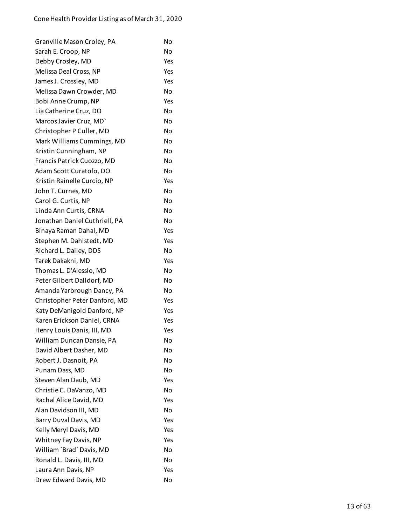| Granville Mason Croley, PA    | No  |
|-------------------------------|-----|
| Sarah E. Croop, NP            | No  |
| Debby Crosley, MD             | Yes |
| Melissa Deal Cross, NP        | Yes |
| James J. Crossley, MD         | Yes |
| Melissa Dawn Crowder, MD      | No  |
| Bobi Anne Crump, NP           | Yes |
| Lia Catherine Cruz, DO        | No  |
| Marcos Javier Cruz, MD`       | No  |
| Christopher P Culler, MD      | No  |
| Mark Williams Cummings, MD    | No  |
| Kristin Cunningham, NP        | No  |
| Francis Patrick Cuozzo, MD    | No  |
| Adam Scott Curatolo, DO       | No  |
| Kristin Rainelle Curcio, NP   | Yes |
| John T. Curnes, MD            | No  |
| Carol G. Curtis, NP           | No  |
| Linda Ann Curtis, CRNA        | No  |
| Jonathan Daniel Cuthriell, PA | No  |
| Binaya Raman Dahal, MD        | Yes |
| Stephen M. Dahlstedt, MD      | Yes |
| Richard L. Dailey, DDS        | No  |
| Tarek Dakakni, MD             | Yes |
| Thomas L. D'Alessio, MD       | No  |
| Peter Gilbert Dalldorf, MD    | No  |
| Amanda Yarbrough Dancy, PA    | No  |
| Christopher Peter Danford, MD | Yes |
| Katy DeManigold Danford, NP   | Yes |
| Karen Erickson Daniel, CRNA   | Yes |
| Henry Louis Danis, III, MD    | Yes |
| William Duncan Dansie, PA     | No  |
| David Albert Dasher, MD       | No  |
| Robert J. Dasnoit, PA         | No  |
| Punam Dass, MD                | No  |
| Steven Alan Daub, MD          | Yes |
| Christie C. DaVanzo, MD       | Nο  |
| Rachal Alice David, MD        | Yes |
| Alan Davidson III, MD         | No  |
| Barry Duval Davis, MD         | Yes |
| Kelly Meryl Davis, MD         | Yes |
| Whitney Fay Davis, NP         | Yes |
| William `Brad` Davis, MD      | No  |
| Ronald L. Davis, III, MD      | No  |
| Laura Ann Davis, NP           | Yes |
| Drew Edward Davis, MD         | No  |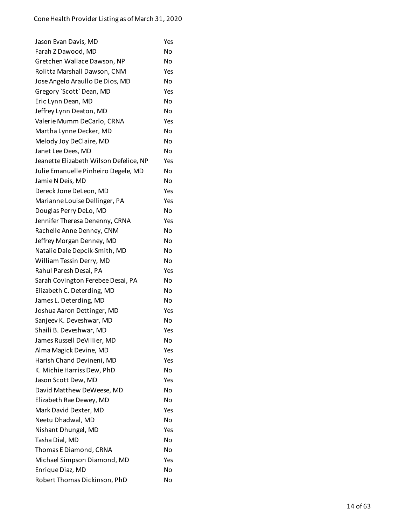| Jason Evan Davis, MD                   | Yes |
|----------------------------------------|-----|
| Farah Z Dawood, MD                     | No  |
| Gretchen Wallace Dawson, NP            | No  |
| Rolitta Marshall Dawson, CNM           | Yes |
| Jose Angelo Araullo De Dios, MD        | No  |
| Gregory `Scott` Dean, MD               | Yes |
| Eric Lynn Dean, MD                     | No  |
| Jeffrey Lynn Deaton, MD                | No  |
| Valerie Mumm DeCarlo, CRNA             | Yes |
| Martha Lynne Decker, MD                | No  |
| Melody Joy DeClaire, MD                | No  |
| Janet Lee Dees, MD                     | No  |
| Jeanette Elizabeth Wilson Defelice, NP | Yes |
| Julie Emanuelle Pinheiro Degele, MD    | No  |
| Jamie N Deis, MD                       | No  |
| Dereck Jone DeLeon, MD                 | Yes |
| Marianne Louise Dellinger, PA          | Yes |
| Douglas Perry DeLo, MD                 | No  |
| Jennifer Theresa Denenny, CRNA         | Yes |
| Rachelle Anne Denney, CNM              | No  |
| Jeffrey Morgan Denney, MD              | No  |
| Natalie Dale Depcik-Smith, MD          | No  |
| William Tessin Derry, MD               | No  |
| Rahul Paresh Desai, PA                 | Yes |
| Sarah Covington Ferebee Desai, PA      | No  |
| Elizabeth C. Deterding, MD             | No  |
| James L. Deterding, MD                 | No  |
| Joshua Aaron Dettinger, MD             | Yes |
| Sanjeev K. Deveshwar, MD               | No  |
| Shaili B. Deveshwar, MD                | Yes |
| James Russell DeVillier, MD            | No  |
| Alma Magick Devine, MD                 | Yes |
| Harish Chand Devineni, MD              | Yes |
| K. Michie Harriss Dew, PhD             | No  |
| Jason Scott Dew, MD                    | Yes |
| David Matthew DeWeese, MD              | No  |
| Elizabeth Rae Dewey, MD                | No  |
| Mark David Dexter, MD                  | Yes |
| Neetu Dhadwal, MD                      | No  |
| Nishant Dhungel, MD                    | Yes |
| Tasha Dial, MD                         | No  |
| Thomas E Diamond, CRNA                 | No  |
| Michael Simpson Diamond, MD            | Yes |
| Enrique Diaz, MD                       | No  |
| Robert Thomas Dickinson, PhD           | No  |
|                                        |     |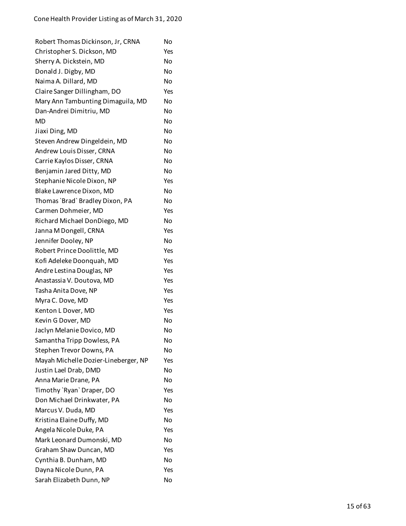| Robert Thomas Dickinson, Jr, CRNA    | No        |
|--------------------------------------|-----------|
| Christopher S. Dickson, MD           | Yes       |
| Sherry A. Dickstein, MD              | No        |
| Donald J. Digby, MD                  | No        |
| Naima A. Dillard, MD                 | No        |
| Claire Sanger Dillingham, DO         | Yes       |
| Mary Ann Tambunting Dimaguila, MD    | No        |
| Dan-Andrei Dimitriu, MD              | No        |
| MD                                   | No        |
| Jiaxi Ding, MD                       | <b>No</b> |
| Steven Andrew Dingeldein, MD         | No        |
| Andrew Louis Disser, CRNA            | No        |
| Carrie Kaylos Disser, CRNA           | No        |
| Benjamin Jared Ditty, MD             | No        |
| Stephanie Nicole Dixon, NP           | Yes       |
| Blake Lawrence Dixon, MD             | No        |
| Thomas `Brad` Bradley Dixon, PA      | No        |
| Carmen Dohmeier, MD                  | Yes       |
| Richard Michael DonDiego, MD         | No        |
| Janna M Dongell, CRNA                | Yes       |
| Jennifer Dooley, NP                  | No        |
| Robert Prince Doolittle, MD          | Yes       |
| Kofi Adeleke Doonquah, MD            | Yes       |
| Andre Lestina Douglas, NP            | Yes       |
| Anastassia V. Doutova, MD            | Yes       |
| Tasha Anita Dove, NP                 | Yes       |
| Myra C. Dove, MD                     | Yes       |
| Kenton L Dover, MD                   | Yes       |
| Kevin G Dover, MD                    | No        |
| Jaclyn Melanie Dovico, MD            | No        |
| Samantha Tripp Dowless, PA           | No        |
| Stephen Trevor Downs, PA             | No        |
| Mayah Michelle Dozier-Lineberger, NP | Yes       |
| Justin Lael Drab, DMD                | No        |
| Anna Marie Drane, PA                 | No        |
| Timothy `Ryan` Draper, DO            | Yes       |
| Don Michael Drinkwater, PA           | No        |
| Marcus V. Duda, MD                   | Yes       |
| Kristina Elaine Duffy, MD            | No        |
| Angela Nicole Duke, PA               | Yes       |
| Mark Leonard Dumonski, MD            | No        |
| Graham Shaw Duncan, MD               | Yes       |
| Cynthia B. Dunham, MD                | No        |
| Dayna Nicole Dunn, PA                | Yes       |
| Sarah Elizabeth Dunn, NP             | No        |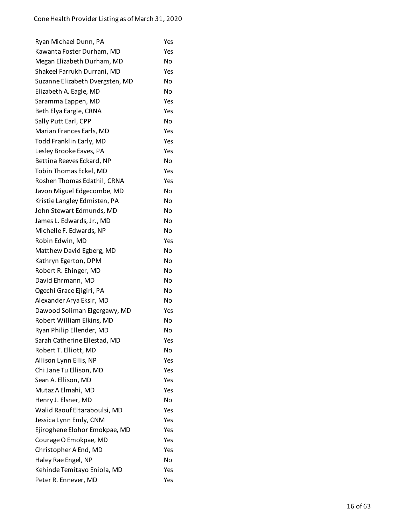| Ryan Michael Dunn, PA           | Yes |
|---------------------------------|-----|
| Kawanta Foster Durham, MD       | Yes |
| Megan Elizabeth Durham, MD      | No  |
| Shakeel Farrukh Durrani, MD     | Yes |
| Suzanne Elizabeth Dvergsten, MD | No  |
| Elizabeth A. Eagle, MD          | No  |
| Saramma Eappen, MD              | Yes |
| Beth Elya Eargle, CRNA          | Yes |
| Sally Putt Earl, CPP            | No  |
| Marian Frances Earls, MD        | Yes |
| Todd Franklin Early, MD         | Yes |
| Lesley Brooke Eaves, PA         | Yes |
| Bettina Reeves Eckard, NP       | No  |
| Tobin Thomas Eckel, MD          | Yes |
| Roshen Thomas Edathil, CRNA     | Yes |
| Javon Miguel Edgecombe, MD      | No  |
| Kristie Langley Edmisten, PA    | No  |
| John Stewart Edmunds, MD        | No  |
| James L. Edwards, Jr., MD       | No  |
| Michelle F. Edwards, NP         | No  |
| Robin Edwin, MD                 | Yes |
| Matthew David Egberg, MD        | No  |
| Kathryn Egerton, DPM            | No  |
| Robert R. Ehinger, MD           | No  |
| David Ehrmann, MD               | No  |
| Ogechi Grace Ejigiri, PA        | No  |
| Alexander Arya Eksir, MD        | No  |
| Dawood Soliman Elgergawy, MD    | Yes |
| Robert William Elkins, MD       | No  |
| Ryan Philip Ellender, MD        | No  |
| Sarah Catherine Ellestad, MD    | Yes |
| Robert T. Elliott, MD           | No  |
| Allison Lynn Ellis, NP          | Yes |
| Chi Jane Tu Ellison, MD         | Yes |
| Sean A. Ellison, MD             | Yes |
| Mutaz A Elmahi, MD              | Yes |
| Henry J. Elsner, MD             | No  |
| Walid Raouf Eltaraboulsi, MD    | Yes |
| Jessica Lynn Emly, CNM          | Yes |
| Ejiroghene Elohor Emokpae, MD   | Yes |
| Courage O Emokpae, MD           | Yes |
| Christopher A End, MD           | Yes |
| Haley Rae Engel, NP             | No  |
| Kehinde Temitayo Eniola, MD     | Yes |
| Peter R. Ennever, MD            | Yes |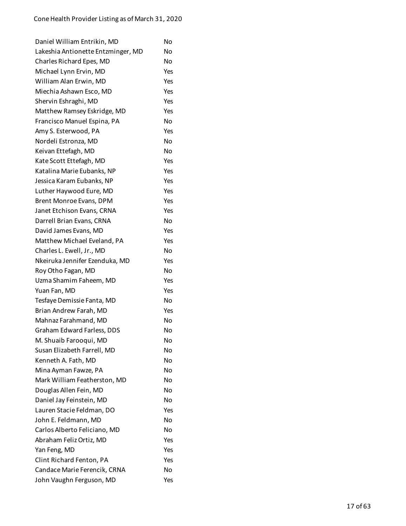| Daniel William Entrikin, MD        | No  |
|------------------------------------|-----|
| Lakeshia Antionette Entzminger, MD | No  |
| Charles Richard Epes, MD           | No  |
| Michael Lynn Ervin, MD             | Yes |
| William Alan Erwin, MD             | Yes |
| Miechia Ashawn Esco, MD            | Yes |
| Shervin Eshraghi, MD               | Yes |
| Matthew Ramsey Eskridge, MD        | Yes |
| Francisco Manuel Espina, PA        | No  |
| Amy S. Esterwood, PA               | Yes |
| Nordeli Estronza, MD               | No  |
| Keivan Ettefagh, MD                | No  |
| Kate Scott Ettefagh, MD            | Yes |
| Katalina Marie Eubanks, NP         | Yes |
| Jessica Karam Eubanks, NP          | Yes |
| Luther Haywood Eure, MD            | Yes |
| Brent Monroe Evans, DPM            | Yes |
| Janet Etchison Evans, CRNA         | Yes |
| Darrell Brian Evans, CRNA          | No  |
| David James Evans, MD              | Yes |
| Matthew Michael Eveland, PA        | Yes |
| Charles L. Ewell, Jr., MD          | No  |
| Nkeiruka Jennifer Ezenduka, MD     | Yes |
| Roy Otho Fagan, MD                 | No  |
| Uzma Shamim Faheem, MD             | Yes |
| Yuan Fan, MD                       | Yes |
| Tesfaye Demissie Fanta, MD         | No  |
| Brian Andrew Farah, MD             | Yes |
| Mahnaz Farahmand, MD               | No  |
| Graham Edward Farless, DDS         | No  |
| M. Shuaib Farooqui, MD             | No  |
| Susan Elizabeth Farrell, MD        | No  |
| Kenneth A. Fath, MD                | No  |
| Mina Ayman Fawze, PA               | No  |
| Mark William Featherston, MD       | No  |
| Douglas Allen Fein, MD             | No  |
| Daniel Jay Feinstein, MD           | No  |
| Lauren Stacie Feldman, DO          | Yes |
| John E. Feldmann, MD               | No  |
| Carlos Alberto Feliciano, MD       | No  |
| Abraham Feliz Ortiz, MD            | Yes |
| Yan Feng, MD                       | Yes |
| Clint Richard Fenton, PA           | Yes |
| Candace Marie Ferencik, CRNA       | No  |
| John Vaughn Ferguson, MD           | Yes |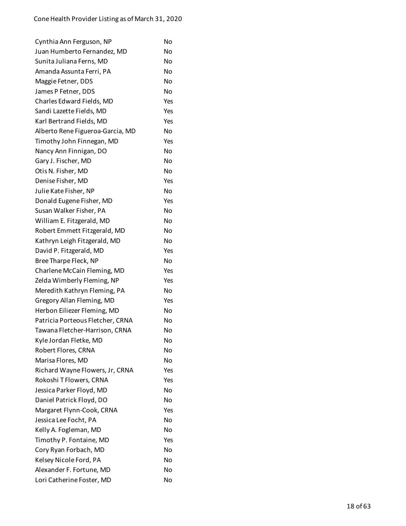| Cynthia Ann Ferguson, NP         | No  |
|----------------------------------|-----|
| Juan Humberto Fernandez, MD      | No  |
| Sunita Juliana Ferns, MD         | No  |
| Amanda Assunta Ferri, PA         | No  |
| Maggie Fetner, DDS               | No  |
| James P Fetner, DDS              | No  |
| Charles Edward Fields, MD        | Yes |
| Sandi Lazette Fields, MD         | Yes |
| Karl Bertrand Fields, MD         | Yes |
| Alberto Rene Figueroa-Garcia, MD | No  |
| Timothy John Finnegan, MD        | Yes |
| Nancy Ann Finnigan, DO           | No  |
| Gary J. Fischer, MD              | No  |
| Otis N. Fisher, MD               | No  |
| Denise Fisher, MD                | Yes |
| Julie Kate Fisher, NP            | No  |
| Donald Eugene Fisher, MD         | Yes |
| Susan Walker Fisher, PA          | No  |
| William E. Fitzgerald, MD        | No  |
| Robert Emmett Fitzgerald, MD     | No  |
| Kathryn Leigh Fitzgerald, MD     | No  |
| David P. Fitzgerald, MD          | Yes |
| Bree Tharpe Fleck, NP            | No  |
| Charlene McCain Fleming, MD      | Yes |
| Zelda Wimberly Fleming, NP       | Yes |
| Meredith Kathryn Fleming, PA     | No  |
| Gregory Allan Fleming, MD        | Yes |
| Herbon Eiliezer Fleming, MD      | No  |
| Patricia Porteous Fletcher, CRNA | No  |
| Tawana Fletcher-Harrison, CRNA   | No  |
| Kyle Jordan Fletke, MD           | No  |
| Robert Flores, CRNA              | No  |
| Marisa Flores, MD                | No  |
| Richard Wayne Flowers, Jr, CRNA  | Yes |
| Rokoshi T Flowers, CRNA          | Yes |
| Jessica Parker Floyd, MD         | No  |
| Daniel Patrick Floyd, DO         | No  |
| Margaret Flynn-Cook, CRNA        | Yes |
| Jessica Lee Focht, PA            | No  |
| Kelly A. Fogleman, MD            | No  |
| Timothy P. Fontaine, MD          | Yes |
| Cory Ryan Forbach, MD            | No  |
| Kelsey Nicole Ford, PA           | No  |
| Alexander F. Fortune, MD         | No  |
| Lori Catherine Foster, MD        | No  |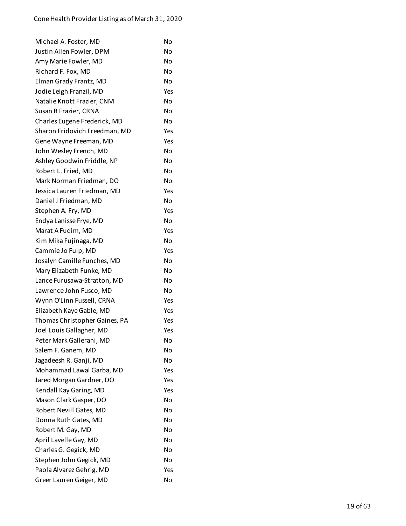| Michael A. Foster, MD         | No  |
|-------------------------------|-----|
| Justin Allen Fowler, DPM      | No  |
| Amy Marie Fowler, MD          | No  |
| Richard F. Fox, MD            | No  |
| Elman Grady Frantz, MD        | No  |
| Jodie Leigh Franzil, MD       | Yes |
| Natalie Knott Frazier, CNM    | No  |
| Susan R Frazier, CRNA         | No  |
| Charles Eugene Frederick, MD  | No  |
| Sharon Fridovich Freedman, MD | Yes |
| Gene Wayne Freeman, MD        | Yes |
| John Wesley French, MD        | No  |
| Ashley Goodwin Friddle, NP    | No  |
| Robert L. Fried, MD           | No  |
| Mark Norman Friedman, DO      | No  |
| Jessica Lauren Friedman, MD   | Yes |
| Daniel J Friedman, MD         | No  |
| Stephen A. Fry, MD            | Yes |
| Endya Lanisse Frye, MD        | No  |
| Marat A Fudim, MD             | Yes |
| Kim Mika Fujinaga, MD         | No  |
| Cammie Jo Fulp, MD            | Yes |
| Josalyn Camille Funches, MD   | No  |
| Mary Elizabeth Funke, MD      | No  |
| Lance Furusawa-Stratton, MD   | No  |
| Lawrence John Fusco, MD       | No  |
| Wynn O'Linn Fussell, CRNA     | Yes |
| Elizabeth Kaye Gable, MD      | Yes |
| Thomas Christopher Gaines, PA | Yes |
| Joel Louis Gallagher, MD      | Yes |
| Peter Mark Gallerani, MD      | No  |
| Salem F. Ganem, MD            | No  |
| Jagadeesh R. Ganji, MD        | No  |
| Mohammad Lawal Garba, MD      | Yes |
| Jared Morgan Gardner, DO      | Yes |
| Kendall Kay Garing, MD        | Yes |
| Mason Clark Gasper, DO        | No  |
| Robert Nevill Gates, MD       | No  |
| Donna Ruth Gates, MD          | No  |
| Robert M. Gay, MD             | No  |
| April Lavelle Gay, MD         | No  |
| Charles G. Gegick, MD         | No  |
| Stephen John Gegick, MD       | No  |
| Paola Alvarez Gehrig, MD      | Yes |
| Greer Lauren Geiger, MD       | No  |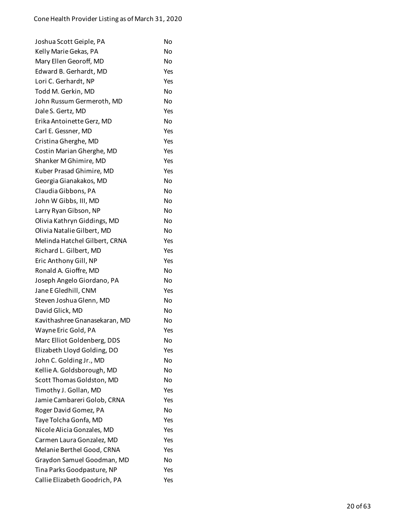| Joshua Scott Geiple, PA       | No        |
|-------------------------------|-----------|
| Kelly Marie Gekas, PA         | No        |
| Mary Ellen Georoff, MD        | No        |
| Edward B. Gerhardt, MD        | Yes       |
| Lori C. Gerhardt, NP          | Yes       |
| Todd M. Gerkin, MD            | No        |
| John Russum Germeroth, MD     | No        |
| Dale S. Gertz, MD             | Yes       |
| Erika Antoinette Gerz, MD     | No        |
| Carl E. Gessner, MD           | Yes       |
| Cristina Gherghe, MD          | Yes       |
| Costin Marian Gherghe, MD     | Yes       |
| Shanker M Ghimire, MD         | Yes       |
| Kuber Prasad Ghimire, MD      | Yes       |
| Georgia Gianakakos, MD        | <b>No</b> |
| Claudia Gibbons, PA           | No        |
| John W Gibbs, III, MD         | No        |
| Larry Ryan Gibson, NP         | No        |
| Olivia Kathryn Giddings, MD   | No        |
| Olivia Natalie Gilbert, MD    | No        |
| Melinda Hatchel Gilbert, CRNA | Yes       |
| Richard L. Gilbert, MD        | Yes       |
| Eric Anthony Gill, NP         | Yes       |
| Ronald A. Gioffre, MD         | No        |
| Joseph Angelo Giordano, PA    | No        |
| Jane E Gledhill, CNM          | Yes       |
| Steven Joshua Glenn, MD       | <b>No</b> |
| David Glick, MD               | <b>No</b> |
| Kavithashree Gnanasekaran, MD | No        |
| Wayne Eric Gold, PA           | Yes       |
| Marc Elliot Goldenberg, DDS   | No        |
| Elizabeth Lloyd Golding, DO   | Yes       |
| John C. Golding Jr., MD       | No        |
| Kellie A. Goldsborough, MD    | No        |
| Scott Thomas Goldston, MD     | No        |
| Timothy J. Gollan, MD         | Yes       |
| Jamie Cambareri Golob, CRNA   | Yes       |
| Roger David Gomez, PA         | No        |
| Taye Tolcha Gonfa, MD         | Yes       |
| Nicole Alicia Gonzales, MD    | Yes       |
| Carmen Laura Gonzalez, MD     | Yes       |
| Melanie Berthel Good, CRNA    | Yes       |
| Graydon Samuel Goodman, MD    | No        |
| Tina Parks Goodpasture, NP    | Yes       |
| Callie Elizabeth Goodrich, PA | Yes       |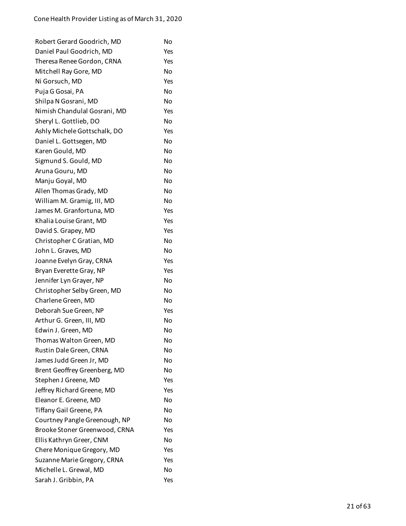| Robert Gerard Goodrich, MD    | No  |
|-------------------------------|-----|
| Daniel Paul Goodrich, MD      | Yes |
| Theresa Renee Gordon, CRNA    | Yes |
| Mitchell Ray Gore, MD         | No  |
| Ni Gorsuch, MD                | Yes |
| Puja G Gosai, PA              | No  |
| Shilpa N Gosrani, MD          | No  |
| Nimish Chandulal Gosrani, MD  | Yes |
| Sheryl L. Gottlieb, DO        | No  |
| Ashly Michele Gottschalk, DO  | Yes |
| Daniel L. Gottsegen, MD       | No  |
| Karen Gould, MD               | No  |
| Sigmund S. Gould, MD          | No  |
| Aruna Gouru, MD               | No  |
| Manju Goyal, MD               | No  |
| Allen Thomas Grady, MD        | No  |
| William M. Gramig, III, MD    | No  |
| James M. Granfortuna, MD      | Yes |
| Khalia Louise Grant, MD       | Yes |
| David S. Grapey, MD           | Yes |
| Christopher C Gratian, MD     | No  |
| John L. Graves, MD            | No  |
| Joanne Evelyn Gray, CRNA      | Yes |
| Bryan Everette Gray, NP       | Yes |
| Jennifer Lyn Grayer, NP       | No  |
| Christopher Selby Green, MD   | No  |
| Charlene Green, MD            | No  |
| Deborah Sue Green, NP         | Yes |
| Arthur G. Green, III, MD      | No  |
| Edwin J. Green, MD            | No  |
| Thomas Walton Green, MD       | No  |
| Rustin Dale Green, CRNA       | No  |
| James Judd Green Jr, MD       | No  |
| Brent Geoffrey Greenberg, MD  | No  |
| Stephen J Greene, MD          | Yes |
| Jeffrey Richard Greene, MD    | Yes |
| Eleanor E. Greene, MD         | No  |
| Tiffany Gail Greene, PA       | No  |
| Courtney Pangle Greenough, NP | No  |
| Brooke Stoner Greenwood, CRNA | Yes |
| Ellis Kathryn Greer, CNM      | No  |
| Chere Monique Gregory, MD     | Yes |
| Suzanne Marie Gregory, CRNA   | Yes |
| Michelle L. Grewal, MD        | No  |
| Sarah J. Gribbin, PA          | Yes |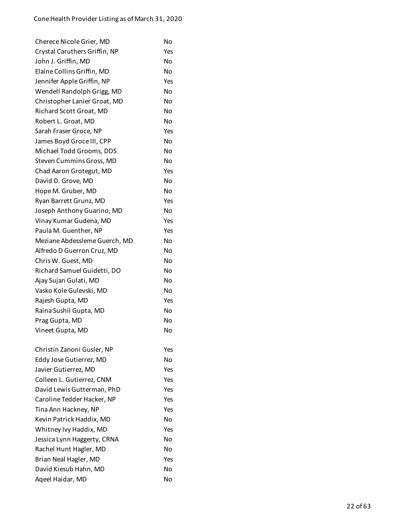| Cherece Nicole Grier, MD      | No  |
|-------------------------------|-----|
| Crystal Caruthers Griffin, NP | Yes |
| John J. Griffin, MD           | No  |
| Elaine Collins Griffin, MD    | No  |
| Jennifer Apple Griffin, NP    | Yes |
| Wendell Randolph Grigg, MD    | No  |
| Christopher Lanier Groat, MD  | No  |
| Richard Scott Groat, MD       | No  |
| Robert L. Groat, MD           | No  |
| Sarah Fraser Groce, NP        | Yes |
| James Boyd Groce III, CPP     | No  |
| Michael Todd Grooms, DDS      | No  |
| Steven Cummins Gross, MD      | No  |
| Chad Aaron Grotegut, MD       | Yes |
| David D. Grove, MD            | No  |
| Hope M. Gruber, MD            | No  |
| Ryan Barrett Grunz, MD        | Yes |
| Joseph Anthony Guarino, MD    | No  |
| Vinay Kumar Gudena, MD        | Yes |
| Paula M. Guenther, NP         | Yes |
| Meziane Abdessleme Guerch, MD | No  |
| Alfredo D Guerron Cruz, MD    | No  |
| Chris W. Guest, MD            | No  |
| Richard Samuel Guidetti, DO   | No  |
| Ajay Sujan Gulati, MD         | No  |
| Vasko Kole Gulevski, MD       | No  |
| Rajesh Gupta, MD              | Yes |
| Raina Sushil Gupta, MD        | No  |
| Prag Gupta, MD                | No  |
| Vineet Gupta, MD              | No  |
|                               |     |
| Christin Zanoni Gusler, NP    | Yes |
| Eddy Jose Gutierrez, MD       | No  |
| Javier Gutierrez, MD          | Yes |
| Colleen L. Gutierrez, CNM     | Yes |
| David Lewis Gutterman, PhD    | Yes |
| Caroline Tedder Hacker, NP    | Yes |
| Tina Ann Hackney, NP          | Yes |
| Kevin Patrick Haddix, MD      | No  |
| Whitney Ivy Haddix, MD        | Yes |
| Jessica Lynn Haggerty, CRNA   | No  |
| Rachel Hunt Hagler, MD        | No  |
| Brian Neal Hagler, MD         | Yes |
| David Kiesub Hahn, MD         | No  |
| Aqeel Haidar, MD              | No  |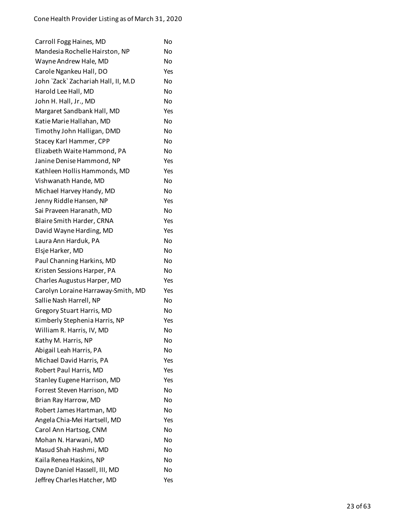| Carroll Fogg Haines, MD             | No  |
|-------------------------------------|-----|
| Mandesia Rochelle Hairston, NP      | No  |
| Wayne Andrew Hale, MD               | No  |
| Carole Ngankeu Hall, DO             | Yes |
| John `Zack` Zachariah Hall, II, M.D | No  |
| Harold Lee Hall, MD                 | No  |
| John H. Hall, Jr., MD               | No  |
| Margaret Sandbank Hall, MD          | Yes |
| Katie Marie Hallahan, MD            | No  |
| Timothy John Halligan, DMD          | No  |
| Stacey Karl Hammer, CPP             | No  |
| Elizabeth Waite Hammond, PA         | No  |
| Janine Denise Hammond, NP           | Yes |
| Kathleen Hollis Hammonds, MD        | Yes |
| Vishwanath Hande, MD                | No  |
| Michael Harvey Handy, MD            | No  |
| Jenny Riddle Hansen, NP             | Yes |
| Sai Praveen Haranath, MD            | No  |
| Blaire Smith Harder, CRNA           | Yes |
| David Wayne Harding, MD             | Yes |
| Laura Ann Harduk, PA                | No  |
| Elsje Harker, MD                    | No  |
| Paul Channing Harkins, MD           | No  |
| Kristen Sessions Harper, PA         | No  |
| Charles Augustus Harper, MD         | Yes |
| Carolyn Loraine Harraway-Smith, MD  | Yes |
| Sallie Nash Harrell, NP             | No  |
| <b>Gregory Stuart Harris, MD</b>    | No  |
| Kimberly Stephenia Harris, NP       | Yes |
| William R. Harris, IV, MD           | No  |
| Kathy M. Harris, NP                 | No  |
| Abigail Leah Harris, PA             | No  |
| Michael David Harris, PA            | Yes |
| Robert Paul Harris, MD              | Yes |
| Stanley Eugene Harrison, MD         | Yes |
| Forrest Steven Harrison, MD         | No  |
| Brian Ray Harrow, MD                | No  |
| Robert James Hartman, MD            | No  |
| Angela Chia-Mei Hartsell, MD        | Yes |
| Carol Ann Hartsog, CNM              | No  |
| Mohan N. Harwani, MD                | No  |
| Masud Shah Hashmi, MD               | No  |
| Kaila Renea Haskins, NP             | No  |
| Dayne Daniel Hassell, III, MD       | No  |
| Jeffrey Charles Hatcher, MD         | Yes |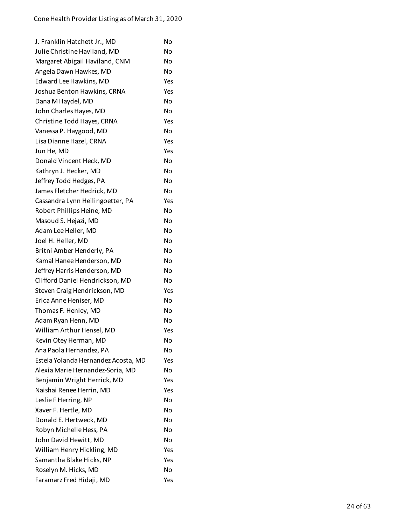| J. Franklin Hatchett Jr., MD        | No        |
|-------------------------------------|-----------|
| Julie Christine Haviland, MD        | <b>No</b> |
| Margaret Abigail Haviland, CNM      | No        |
| Angela Dawn Hawkes, MD              | No        |
| Edward Lee Hawkins, MD              | Yes       |
| Joshua Benton Hawkins, CRNA         | Yes       |
| Dana M Haydel, MD                   | No        |
| John Charles Hayes, MD              | No        |
| Christine Todd Hayes, CRNA          | Yes       |
| Vanessa P. Haygood, MD              | No        |
| Lisa Dianne Hazel, CRNA             | Yes       |
| Jun He, MD                          | Yes       |
| Donald Vincent Heck, MD             | No        |
| Kathryn J. Hecker, MD               | No        |
| Jeffrey Todd Hedges, PA             | No        |
| James Fletcher Hedrick, MD          | No        |
| Cassandra Lynn Heilingoetter, PA    | Yes       |
| Robert Phillips Heine, MD           | No        |
| Masoud S. Hejazi, MD                | No        |
| Adam Lee Heller, MD                 | No        |
| Joel H. Heller, MD                  | No        |
| Britni Amber Henderly, PA           | No        |
| Kamal Hanee Henderson, MD           | No        |
| Jeffrey Harris Henderson, MD        | No        |
| Clifford Daniel Hendrickson, MD     | No        |
| Steven Craig Hendrickson, MD        | Yes       |
| Erica Anne Heniser, MD              | No        |
| Thomas F. Henley, MD                | No        |
| Adam Ryan Henn, MD                  | No        |
| William Arthur Hensel, MD           | Yes       |
| Kevin Otey Herman, MD               | No        |
| Ana Paola Hernandez, PA             | No        |
| Estela Yolanda Hernandez Acosta, MD | Yes       |
| Alexia Marie Hernandez-Soria, MD    | No        |
| Benjamin Wright Herrick, MD         | Yes       |
| Naishai Renee Herrin, MD            | Yes       |
| Leslie F Herring, NP                | No        |
| Xaver F. Hertle, MD                 | No        |
| Donald E. Hertweck, MD              | N٥        |
| Robyn Michelle Hess, PA             | No        |
| John David Hewitt, MD               | No        |
| William Henry Hickling, MD          | Yes       |
| Samantha Blake Hicks, NP            | Yes       |
| Roselyn M. Hicks, MD                | No        |
| Faramarz Fred Hidaji, MD            | Yes       |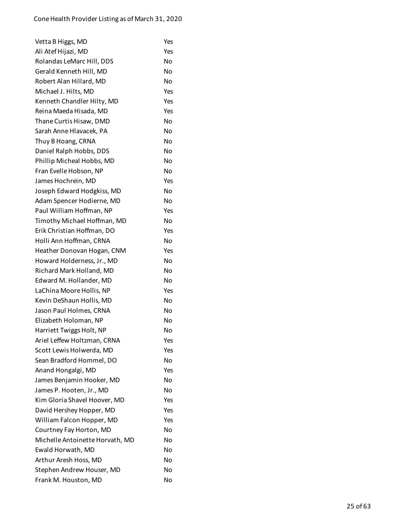| Vetta B Higgs, MD               | Yes       |
|---------------------------------|-----------|
| Ali Atef Hijazi, MD             | Yes       |
| Rolandas LeMarc Hill, DDS       | No        |
| Gerald Kenneth Hill, MD         | No        |
| Robert Alan Hillard, MD         | <b>No</b> |
| Michael J. Hilts, MD            | Yes       |
| Kenneth Chandler Hilty, MD      | Yes       |
| Reina Maeda Hisada, MD          | Yes       |
| Thane Curtis Hisaw, DMD         | No        |
| Sarah Anne Hlavacek, PA         | No        |
| Thuy B Hoang, CRNA              | No        |
| Daniel Ralph Hobbs, DDS         | No        |
| Phillip Micheal Hobbs, MD       | No        |
| Fran Evelle Hobson, NP          | <b>No</b> |
| James Hochrein, MD              | Yes       |
| Joseph Edward Hodgkiss, MD      | No        |
| Adam Spencer Hodierne, MD       | No        |
| Paul William Hoffman, NP        | Yes       |
| Timothy Michael Hoffman, MD     | No        |
| Erik Christian Hoffman, DO      | Yes       |
| Holli Ann Hoffman, CRNA         | No        |
| Heather Donovan Hogan, CNM      | Yes       |
| Howard Holderness, Jr., MD      | No        |
| Richard Mark Holland, MD        | No        |
| Edward M. Hollander, MD         | No        |
| LaChina Moore Hollis, NP        | Yes       |
| Kevin DeShaun Hollis, MD        | No        |
| Jason Paul Holmes, CRNA         | No        |
| Elizabeth Holoman, NP           | No        |
| Harriett Twiggs Holt, NP        | No        |
| Ariel Leffew Holtzman, CRNA     | Yes       |
| Scott Lewis Holwerda, MD        | Yes       |
| Sean Bradford Hommel, DO        | No        |
| Anand Hongalgi, MD              | Yes       |
| James Benjamin Hooker, MD       | No        |
| James P. Hooten, Jr., MD        | No        |
| Kim Gloria Shavel Hoover, MD    | Yes       |
| David Hershey Hopper, MD        | Yes       |
| William Falcon Hopper, MD       | Yes       |
| Courtney Fay Horton, MD         | No        |
| Michelle Antoinette Horvath, MD | No        |
| Ewald Horwath, MD               | No        |
| Arthur Aresh Hoss, MD           | No        |
| Stephen Andrew Houser, MD       | No        |
| Frank M. Houston, MD            | No        |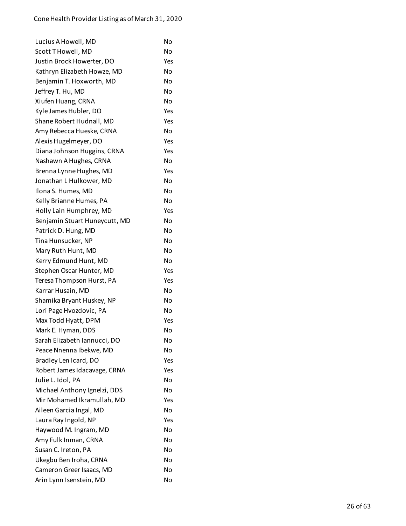| Lucius A Howell, MD           | No        |
|-------------------------------|-----------|
| Scott T Howell, MD            | No        |
| Justin Brock Howerter, DO     | Yes       |
| Kathryn Elizabeth Howze, MD   | No        |
| Benjamin T. Hoxworth, MD      | No        |
| Jeffrey T. Hu, MD             | <b>No</b> |
| Xiufen Huang, CRNA            | No        |
| Kyle James Hubler, DO         | Yes       |
| Shane Robert Hudnall, MD      | Yes       |
| Amy Rebecca Hueske, CRNA      | No        |
| Alexis Hugelmeyer, DO         | Yes       |
| Diana Johnson Huggins, CRNA   | Yes       |
| Nashawn A Hughes, CRNA        | No        |
| Brenna Lynne Hughes, MD       | Yes       |
| Jonathan L Hulkower, MD       | No        |
| Ilona S. Humes, MD            | Nο        |
| Kelly Brianne Humes, PA       | No        |
| Holly Lain Humphrey, MD       | Yes       |
| Benjamin Stuart Huneycutt, MD | No        |
| Patrick D. Hung, MD           | No        |
| Tina Hunsucker, NP            | No        |
| Mary Ruth Hunt, MD            | <b>No</b> |
| Kerry Edmund Hunt, MD         | No        |
| Stephen Oscar Hunter, MD      | Yes       |
| Teresa Thompson Hurst, PA     | Yes       |
| Karrar Husain, MD             | <b>No</b> |
| Shamika Bryant Huskey, NP     | No        |
| Lori Page Hvozdovic, PA       | No        |
| Max Todd Hyatt, DPM           | Yes       |
| Mark E. Hyman, DDS            | No        |
| Sarah Elizabeth Iannucci, DO  | No        |
| Peace Nnenna Ibekwe, MD       | No        |
| Bradley Len Icard, DO         | Yes       |
| Robert James Idacavage, CRNA  | Yes       |
| Julie L. Idol, PA             | No        |
| Michael Anthony Ignelzi, DDS  | No        |
| Mir Mohamed Ikramullah, MD    | Yes       |
| Aileen Garcia Ingal, MD       | No        |
| Laura Ray Ingold, NP          | Yes       |
| Haywood M. Ingram, MD         | No        |
| Amy Fulk Inman, CRNA          | No        |
| Susan C. Ireton, PA           | No        |
| Ukegbu Ben Iroha, CRNA        | No        |
| Cameron Greer Isaacs, MD      | No        |
| Arin Lynn Isenstein, MD       | No        |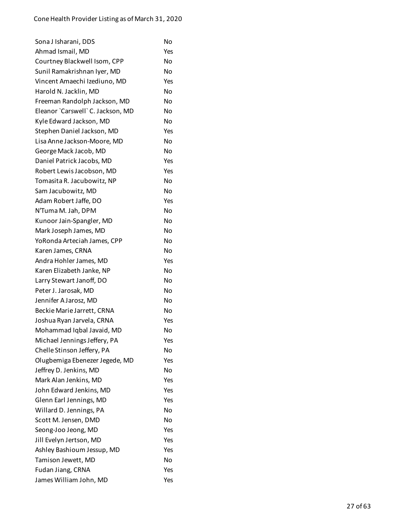| Sona J Isharani, DDS              | No  |
|-----------------------------------|-----|
| Ahmad Ismail, MD                  | Yes |
| Courtney Blackwell Isom, CPP      | No  |
| Sunil Ramakrishnan Iyer, MD       | No  |
| Vincent Amaechi Izediuno, MD      | Yes |
| Harold N. Jacklin, MD             | No  |
| Freeman Randolph Jackson, MD      | No  |
| Eleanor `Carswell` C. Jackson, MD | Nο  |
| Kyle Edward Jackson, MD           | No  |
| Stephen Daniel Jackson, MD        | Yes |
| Lisa Anne Jackson-Moore, MD       | No  |
| George Mack Jacob, MD             | No  |
| Daniel Patrick Jacobs, MD         | Yes |
| Robert Lewis Jacobson, MD         | Yes |
| Tomasita R. Jacubowitz, NP        | No  |
| Sam Jacubowitz, MD                | No  |
| Adam Robert Jaffe, DO             | Yes |
| N'Tuma M. Jah, DPM                | No  |
| Kunoor Jain-Spangler, MD          | No  |
| Mark Joseph James, MD             | No  |
| YoRonda Arteciah James, CPP       | No  |
| Karen James, CRNA                 | No  |
| Andra Hohler James, MD            | Yes |
| Karen Elizabeth Janke, NP         | No  |
| Larry Stewart Janoff, DO          | No  |
| Peter J. Jarosak, MD              | No  |
| Jennifer A Jarosz, MD             | No  |
| Beckie Marie Jarrett, CRNA        | No  |
| Joshua Ryan Jarvela, CRNA         | Yes |
| Mohammad Iqbal Javaid, MD         | No  |
| Michael Jennings Jeffery, PA      | Yes |
| Chelle Stinson Jeffery, PA        | No  |
| Olugbemiga Ebenezer Jegede, MD    | Yes |
| Jeffrey D. Jenkins, MD            | No  |
| Mark Alan Jenkins, MD             | Yes |
| John Edward Jenkins, MD           | Yes |
| Glenn Earl Jennings, MD           | Yes |
| Willard D. Jennings, PA           | No  |
| Scott M. Jensen, DMD              | No  |
| Seong-Joo Jeong, MD               | Yes |
| Jill Evelyn Jertson, MD           | Yes |
| Ashley Bashioum Jessup, MD        | Yes |
| Tamison Jewett, MD                | No  |
| Fudan Jiang, CRNA                 | Yes |
| James William John, MD            | Yes |
|                                   |     |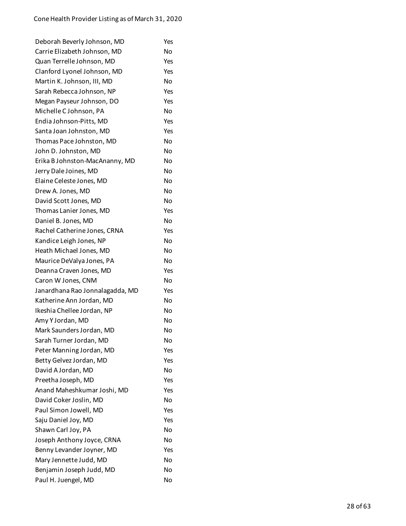| Deborah Beverly Johnson, MD     | Yes |
|---------------------------------|-----|
| Carrie Elizabeth Johnson, MD    | No  |
| Quan Terrelle Johnson, MD       | Yes |
| Clanford Lyonel Johnson, MD     | Yes |
| Martin K. Johnson, III, MD      | No  |
| Sarah Rebecca Johnson, NP       | Yes |
| Megan Payseur Johnson, DO       | Yes |
| Michelle C Johnson, PA          | No  |
| Endia Johnson-Pitts, MD         | Yes |
| Santa Joan Johnston, MD         | Yes |
| Thomas Pace Johnston, MD        | No  |
| John D. Johnston, MD            | No  |
| Erika B Johnston-MacAnanny, MD  | No  |
| Jerry Dale Joines, MD           | No  |
| Elaine Celeste Jones, MD        | No  |
| Drew A. Jones, MD               | No  |
| David Scott Jones, MD           | No  |
| Thomas Lanier Jones, MD         | Yes |
| Daniel B. Jones, MD             | No  |
| Rachel Catherine Jones, CRNA    | Yes |
| Kandice Leigh Jones, NP         | No  |
| Heath Michael Jones, MD         | No  |
| Maurice DeValya Jones, PA       | No  |
| Deanna Craven Jones, MD         | Yes |
| Caron W Jones, CNM              | No  |
| Janardhana Rao Jonnalagadda, MD | Yes |
| Katherine Ann Jordan, MD        | No  |
| Ikeshia Chellee Jordan, NP      | No  |
| Amy Y Jordan, MD                | No  |
| Mark Saunders Jordan, MD        | No  |
| Sarah Turner Jordan, MD         | No  |
| Peter Manning Jordan, MD        | Yes |
| Betty Gelvez Jordan, MD         | Yes |
| David A Jordan, MD              | No  |
| Preetha Joseph, MD              | Yes |
| Anand Maheshkumar Joshi, MD     | Yes |
| David Coker Joslin, MD          | No  |
| Paul Simon Jowell, MD           | Yes |
| Saju Daniel Joy, MD             | Yes |
| Shawn Carl Joy, PA              | No  |
| Joseph Anthony Joyce, CRNA      | No  |
| Benny Levander Joyner, MD       | Yes |
| Mary Jennette Judd, MD          | No  |
| Benjamin Joseph Judd, MD        | No  |
| Paul H. Juengel, MD             | No  |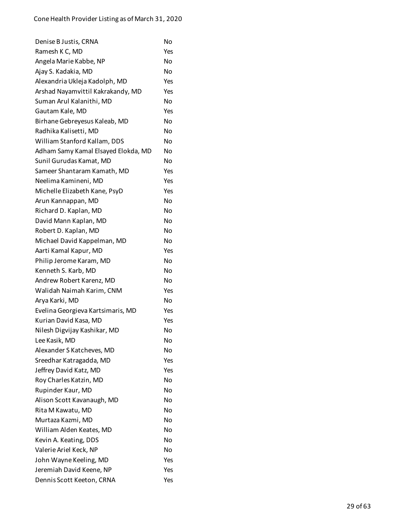| Denise B Justis, CRNA               | No        |
|-------------------------------------|-----------|
| Ramesh K C, MD                      | Yes       |
| Angela Marie Kabbe, NP              | No        |
| Ajay S. Kadakia, MD                 | No        |
| Alexandria Ukleja Kadolph, MD       | Yes       |
| Arshad Nayamvittil Kakrakandy, MD   | Yes       |
| Suman Arul Kalanithi, MD            | <b>No</b> |
| Gautam Kale, MD                     | Yes       |
| Birhane Gebreyesus Kaleab, MD       | No        |
| Radhika Kalisetti, MD               | No        |
| William Stanford Kallam, DDS        | No        |
| Adham Samy Kamal Elsayed Elokda, MD | No        |
| Sunil Gurudas Kamat, MD             | No        |
| Sameer Shantaram Kamath, MD         | Yes       |
| Neelima Kamineni, MD                | Yes       |
| Michelle Elizabeth Kane, PsyD       | Yes       |
| Arun Kannappan, MD                  | No        |
| Richard D. Kaplan, MD               | No        |
| David Mann Kaplan, MD               | No        |
| Robert D. Kaplan, MD                | No        |
| Michael David Kappelman, MD         | No        |
| Aarti Kamal Kapur, MD               | Yes       |
| Philip Jerome Karam, MD             | No        |
| Kenneth S. Karb, MD                 | No        |
| Andrew Robert Karenz, MD            | No        |
| Walidah Naimah Karim, CNM           | Yes       |
| Arya Karki, MD                      | No        |
| Evelina Georgieva Kartsimaris, MD   | Yes       |
| Kurian David Kasa, MD               | Yes       |
| Nilesh Digvijay Kashikar, MD        | No        |
| Lee Kasik, MD                       | No        |
| Alexander S Katcheves, MD           | No        |
| Sreedhar Katragadda, MD             | Yes       |
| Jeffrey David Katz, MD              | Yes       |
| Roy Charles Katzin, MD              | No        |
| Rupinder Kaur, MD                   | No        |
| Alison Scott Kavanaugh, MD          | No        |
| Rita M Kawatu, MD                   | No        |
| Murtaza Kazmi, MD                   | No        |
| William Alden Keates, MD            | No        |
| Kevin A. Keating, DDS               | No        |
| Valerie Ariel Keck, NP              | No        |
| John Wayne Keeling, MD              | Yes       |
| Jeremiah David Keene, NP            | Yes       |
| Dennis Scott Keeton, CRNA           | Yes       |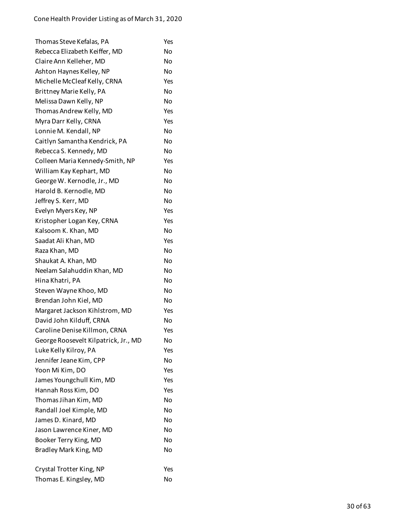| Thomas Steve Kefalas, PA             | Yes            |
|--------------------------------------|----------------|
| Rebecca Elizabeth Keiffer, MD        | No             |
| Claire Ann Kelleher, MD              | No             |
| Ashton Haynes Kelley, NP             | No             |
| Michelle McCleaf Kelly, CRNA         | Yes            |
| Brittney Marie Kelly, PA             | No             |
| Melissa Dawn Kelly, NP               | No             |
| Thomas Andrew Kelly, MD              | Yes            |
| Myra Darr Kelly, CRNA                | Yes            |
| Lonnie M. Kendall, NP                | N <sub>0</sub> |
| Caitlyn Samantha Kendrick, PA        | No             |
| Rebecca S. Kennedy, MD               | No             |
| Colleen Maria Kennedy-Smith, NP      | Yes            |
| William Kay Kephart, MD              | <b>No</b>      |
| George W. Kernodle, Jr., MD          | No             |
| Harold B. Kernodle, MD               | No             |
| Jeffrey S. Kerr, MD                  | No             |
| Evelyn Myers Key, NP                 | Yes            |
| Kristopher Logan Key, CRNA           | Yes            |
| Kalsoom K. Khan, MD                  | No             |
| Saadat Ali Khan, MD                  | Yes            |
| Raza Khan, MD                        | <b>No</b>      |
| Shaukat A. Khan, MD                  | No             |
| Neelam Salahuddin Khan, MD           | No             |
| Hina Khatri, PA                      | No             |
| Steven Wayne Khoo, MD                | <b>No</b>      |
| Brendan John Kiel, MD                | No             |
| Margaret Jackson Kihlstrom, MD       | Yes            |
| David John Kilduff, CRNA             | No             |
| Caroline Denise Killmon, CRNA        | Yes            |
| George Roosevelt Kilpatrick, Jr., MD | No             |
| Luke Kelly Kilroy, PA                | Yes            |
| Jennifer Jeane Kim, CPP              | No             |
| Yoon Mi Kim, DO                      | Yes            |
| James Youngchull Kim, MD             | Yes            |
| Hannah Ross Kim, DO                  | Yes            |
| Thomas Jihan Kim, MD                 | No             |
| Randall Joel Kimple, MD              | No             |
| James D. Kinard, MD                  | No             |
| Jason Lawrence Kiner, MD             | No             |
| Booker Terry King, MD                | No             |
| Bradley Mark King, MD                | No             |
|                                      |                |
| Crystal Trotter King, NP             | Yes            |
| Thomas E. Kingsley, MD               | No             |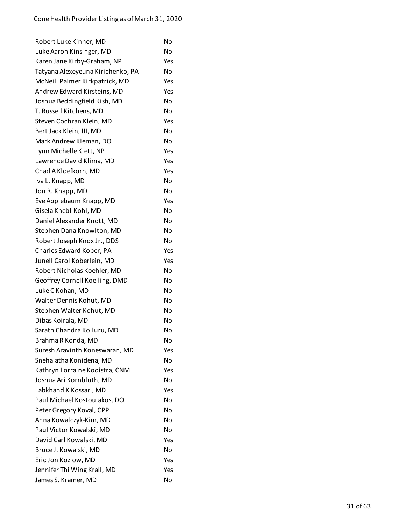| Robert Luke Kinner, MD            | No  |
|-----------------------------------|-----|
| Luke Aaron Kinsinger, MD          | No  |
| Karen Jane Kirby-Graham, NP       | Yes |
| Tatyana Alexeyeuna Kirichenko, PA | No  |
| McNeill Palmer Kirkpatrick, MD    | Yes |
| Andrew Edward Kirsteins, MD       | Yes |
| Joshua Beddingfield Kish, MD      | No  |
| T. Russell Kitchens, MD           | No  |
| Steven Cochran Klein, MD          | Yes |
| Bert Jack Klein, III, MD          | No  |
| Mark Andrew Kleman, DO            | No  |
| Lynn Michelle Klett, NP           | Yes |
| Lawrence David Klima, MD          | Yes |
| Chad A Kloefkorn, MD              | Yes |
| Iva L. Knapp, MD                  | No  |
| Jon R. Knapp, MD                  | No  |
| Eve Applebaum Knapp, MD           | Yes |
| Gisela Knebl-Kohl, MD             | No  |
| Daniel Alexander Knott, MD        | No  |
| Stephen Dana Knowlton, MD         | No  |
| Robert Joseph Knox Jr., DDS       | No  |
| Charles Edward Kober, PA          | Yes |
| Junell Carol Koberlein, MD        | Yes |
| Robert Nicholas Koehler, MD       | No  |
| Geoffrey Cornell Koelling, DMD    | No  |
| Luke C Kohan, MD                  | No  |
| Walter Dennis Kohut, MD           | No  |
| Stephen Walter Kohut, MD          | No  |
| Dibas Koirala, MD                 | No  |
| Sarath Chandra Kolluru, MD        | No  |
| Brahma R Konda, MD                | No  |
| Suresh Aravinth Koneswaran, MD    | Yes |
| Snehalatha Konidena, MD           | No  |
| Kathryn Lorraine Kooistra, CNM    | Yes |
| Joshua Ari Kornbluth, MD          | No  |
| Labkhand K Kossari, MD            | Yes |
| Paul Michael Kostoulakos, DO      | No  |
| Peter Gregory Koval, CPP          | No  |
| Anna Kowalczyk-Kim, MD            | No  |
| Paul Victor Kowalski, MD          | No  |
| David Carl Kowalski, MD           | Yes |
| Bruce J. Kowalski, MD             | No  |
| Eric Jon Kozlow, MD               | Yes |
| Jennifer Thi Wing Krall, MD       | Yes |
| James S. Kramer, MD               | No  |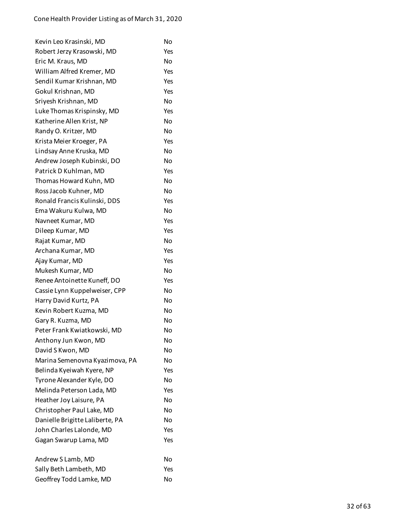| Kevin Leo Krasinski, MD         | No  |
|---------------------------------|-----|
| Robert Jerzy Krasowski, MD      | Yes |
| Eric M. Kraus, MD               | No  |
| William Alfred Kremer, MD       | Yes |
| Sendil Kumar Krishnan, MD       | Yes |
| Gokul Krishnan, MD              | Yes |
| Sriyesh Krishnan, MD            | No  |
| Luke Thomas Krispinsky, MD      | Yes |
| Katherine Allen Krist, NP       | No  |
| Randy O. Kritzer, MD            | No  |
| Krista Meier Kroeger, PA        | Yes |
| Lindsay Anne Kruska, MD         | No  |
| Andrew Joseph Kubinski, DO      | No  |
| Patrick D Kuhlman, MD           | Yes |
| Thomas Howard Kuhn, MD          | No  |
| Ross Jacob Kuhner, MD           | No  |
| Ronald Francis Kulinski, DDS    | Yes |
| Ema Wakuru Kulwa, MD            | No  |
| Navneet Kumar, MD               | Yes |
| Dileep Kumar, MD                | Yes |
| Rajat Kumar, MD                 | No  |
| Archana Kumar, MD               | Yes |
| Ajay Kumar, MD                  | Yes |
| Mukesh Kumar, MD                | No  |
| Renee Antoinette Kuneff, DO     | Yes |
| Cassie Lynn Kuppelweiser, CPP   | No  |
| Harry David Kurtz, PA           | No  |
| Kevin Robert Kuzma, MD          | No  |
| Gary R. Kuzma, MD               | No  |
| Peter Frank Kwiatkowski, MD     | No  |
| Anthony Jun Kwon, MD            | No  |
| David S Kwon, MD                | No  |
| Marina Semenovna Kyazimova, PA  | No  |
| Belinda Kyeiwah Kyere, NP       | Yes |
| Tyrone Alexander Kyle, DO       | No  |
| Melinda Peterson Lada, MD       | Yes |
| Heather Joy Laisure, PA         | No  |
| Christopher Paul Lake, MD       | No  |
| Danielle Brigitte Laliberte, PA | No  |
| John Charles Lalonde, MD        | Yes |
| Gagan Swarup Lama, MD           | Yes |
| Andrew S Lamb, MD               | No  |
| Sally Beth Lambeth, MD          | Yes |
| Geoffrey Todd Lamke, MD         | No  |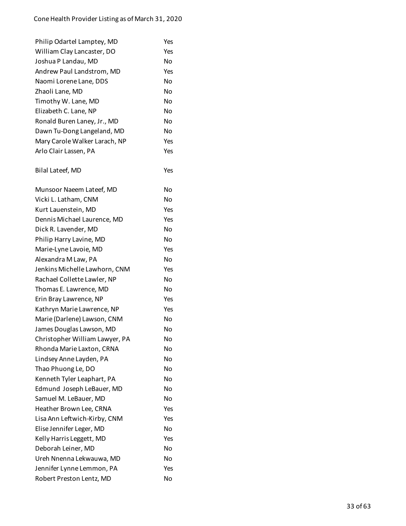| Philip Odartel Lamptey, MD     | Yes |
|--------------------------------|-----|
| William Clay Lancaster, DO     | Yes |
| Joshua P Landau, MD            | No  |
| Andrew Paul Landstrom, MD      | Yes |
| Naomi Lorene Lane, DDS         | No  |
| Zhaoli Lane, MD                | No  |
| Timothy W. Lane, MD            | No  |
| Elizabeth C. Lane, NP          | No  |
| Ronald Buren Laney, Jr., MD    | No  |
| Dawn Tu-Dong Langeland, MD     | No  |
| Mary Carole Walker Larach, NP  | Yes |
| Arlo Clair Lassen, PA          | Yes |
| Bilal Lateef, MD               | Yes |
| Munsoor Naeem Lateef, MD       | No  |
| Vicki L. Latham, CNM           | No  |
| Kurt Lauenstein, MD            | Yes |
| Dennis Michael Laurence, MD    | Yes |
| Dick R. Lavender, MD           | No  |
| Philip Harry Lavine, MD        | No  |
| Marie-Lyne Lavoie, MD          | Yes |
| Alexandra M Law, PA            | No  |
| Jenkins Michelle Lawhorn, CNM  | Yes |
| Rachael Collette Lawler, NP    | No  |
| Thomas E. Lawrence, MD         | No  |
| Erin Bray Lawrence, NP         | Yes |
| Kathryn Marie Lawrence, NP     | Yes |
| Marie (Darlene) Lawson, CNM    | No  |
| James Douglas Lawson, MD       | No  |
| Christopher William Lawyer, PA | No  |
| Rhonda Marie Laxton, CRNA      | No  |
| Lindsey Anne Layden, PA        | Nο  |
| Thao Phuong Le, DO             | No  |
| Kenneth Tyler Leaphart, PA     | No  |
| Edmund Joseph LeBauer, MD      | Nο  |
| Samuel M. LeBauer, MD          | No  |
| Heather Brown Lee, CRNA        | Yes |
| Lisa Ann Leftwich-Kirby, CNM   | Yes |
| Elise Jennifer Leger, MD       | No  |
| Kelly Harris Leggett, MD       | Yes |
| Deborah Leiner, MD             | No  |
| Ureh Nnenna Lekwauwa, MD       | No  |
| Jennifer Lynne Lemmon, PA      | Yes |
| Robert Preston Lentz, MD       | No  |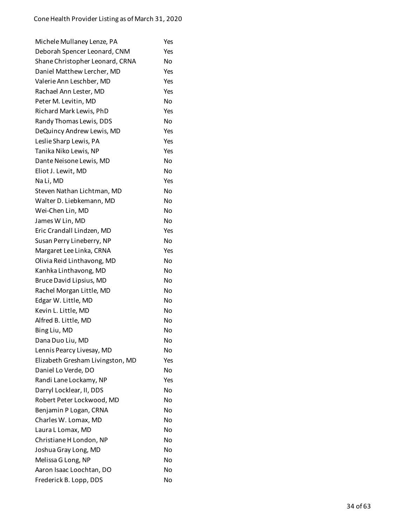| Michele Mullaney Lenze, PA       | Yes       |
|----------------------------------|-----------|
| Deborah Spencer Leonard, CNM     | Yes       |
| Shane Christopher Leonard, CRNA  | No        |
| Daniel Matthew Lercher, MD       | Yes       |
| Valerie Ann Leschber, MD         | Yes       |
| Rachael Ann Lester, MD           | Yes       |
| Peter M. Levitin, MD             | No        |
| Richard Mark Lewis, PhD          | Yes       |
| Randy Thomas Lewis, DDS          | No        |
| DeQuincy Andrew Lewis, MD        | Yes       |
| Leslie Sharp Lewis, PA           | Yes       |
| Tanika Niko Lewis, NP            | Yes       |
| Dante Neisone Lewis, MD          | No        |
| Eliot J. Lewit, MD               | No        |
| Na Li, MD                        | Yes       |
| Steven Nathan Lichtman, MD       | No        |
| Walter D. Liebkemann, MD         | No        |
| Wei-Chen Lin, MD                 | No        |
| James W Lin, MD                  | No        |
| Eric Crandall Lindzen, MD        | Yes       |
| Susan Perry Lineberry, NP        | No        |
| Margaret Lee Linka, CRNA         | Yes       |
| Olivia Reid Linthavong, MD       | No        |
| Kanhka Linthavong, MD            | No        |
| Bruce David Lipsius, MD          | No        |
| Rachel Morgan Little, MD         | No        |
| Edgar W. Little, MD              | No        |
| Kevin L. Little, MD              | No        |
| Alfred B. Little, MD             | No        |
| Bing Liu, MD                     | No        |
| Dana Duo Liu, MD                 | No        |
| Lennis Pearcy Livesay, MD        | No        |
| Elizabeth Gresham Livingston, MD | Yes       |
| Daniel Lo Verde, DO              | No        |
| Randi Lane Lockamy, NP           | Yes       |
| Darryl Locklear, II, DDS         | No        |
| Robert Peter Lockwood, MD        | <b>No</b> |
| Benjamin P Logan, CRNA           | No        |
| Charles W. Lomax, MD             | No        |
| Laura L Lomax, MD                | No        |
| Christiane H London, NP          | <b>No</b> |
| Joshua Gray Long, MD             | No        |
| Melissa G Long, NP               | No        |
| Aaron Isaac Loochtan, DO         | No        |
| Frederick B. Lopp, DDS           | No        |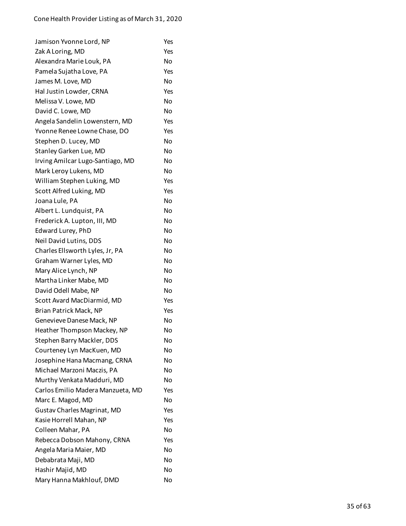| Jamison Yvonne Lord, NP            | Yes |
|------------------------------------|-----|
| Zak A Loring, MD                   | Yes |
| Alexandra Marie Louk, PA           | No  |
| Pamela Sujatha Love, PA            | Yes |
| James M. Love, MD                  | No  |
| Hal Justin Lowder, CRNA            | Yes |
| Melissa V. Lowe, MD                | No  |
| David C. Lowe, MD                  | No  |
| Angela Sandelin Lowenstern, MD     | Yes |
| Yvonne Renee Lowne Chase, DO       | Yes |
| Stephen D. Lucey, MD               | No  |
| Stanley Garken Lue, MD             | No  |
| Irving Amilcar Lugo-Santiago, MD   | No  |
| Mark Leroy Lukens, MD              | Nο  |
| William Stephen Luking, MD         | Yes |
| Scott Alfred Luking, MD            | Yes |
| Joana Lule, PA                     | No  |
| Albert L. Lundquist, PA            | No  |
| Frederick A. Lupton, III, MD       | No  |
| Edward Lurey, PhD                  | No  |
| Neil David Lutins, DDS             | No  |
| Charles Ellsworth Lyles, Jr, PA    | No  |
| Graham Warner Lyles, MD            | No  |
| Mary Alice Lynch, NP               | No  |
| Martha Linker Mabe, MD             | No  |
| David Odell Mabe, NP               | No  |
| Scott Avard MacDiarmid, MD         | Yes |
| Brian Patrick Mack, NP             | Yes |
| Genevieve Danese Mack, NP          | No  |
| Heather Thompson Mackey, NP        | No  |
| Stephen Barry Mackler, DDS         | No  |
| Courteney Lyn MacKuen, MD          | No  |
| Josephine Hana Macmang, CRNA       | No  |
| Michael Marzoni Maczis, PA         | No  |
| Murthy Venkata Madduri, MD         | No  |
| Carlos Emilio Madera Manzueta, MD  | Yes |
| Marc E. Magod, MD                  | No  |
| <b>Gustav Charles Magrinat, MD</b> | Yes |
| Kasie Horrell Mahan, NP            | Yes |
| Colleen Mahar, PA                  | No  |
| Rebecca Dobson Mahony, CRNA        | Yes |
| Angela Maria Maier, MD             | No  |
| Debabrata Maji, MD                 | No  |
| Hashir Majid, MD                   | No  |
| Mary Hanna Makhlouf, DMD           | No  |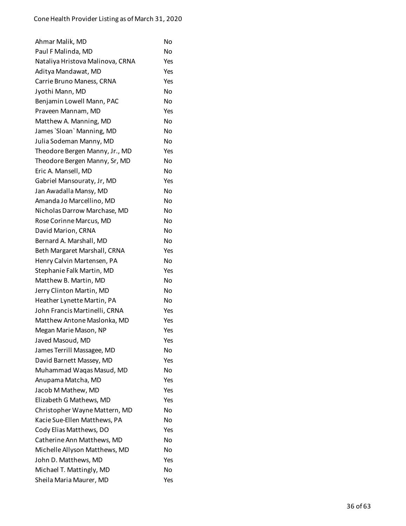| Ahmar Malik, MD                  | No  |
|----------------------------------|-----|
| Paul F Malinda, MD               | No  |
| Nataliya Hristova Malinova, CRNA | Yes |
| Aditya Mandawat, MD              | Yes |
| Carrie Bruno Maness, CRNA        | Yes |
| Jyothi Mann, MD                  | No  |
| Benjamin Lowell Mann, PAC        | No  |
| Praveen Mannam, MD               | Yes |
| Matthew A. Manning, MD           | No  |
| James `Sloan` Manning, MD        | No  |
| Julia Sodeman Manny, MD          | No  |
| Theodore Bergen Manny, Jr., MD   | Yes |
| Theodore Bergen Manny, Sr, MD    | No  |
| Eric A. Mansell, MD              | No  |
| Gabriel Mansouraty, Jr, MD       | Yes |
| Jan Awadalla Mansy, MD           | No  |
| Amanda Jo Marcellino, MD         | No  |
| Nicholas Darrow Marchase, MD     | Nο  |
| Rose Corinne Marcus, MD          | No  |
| David Marion, CRNA               | No  |
| Bernard A. Marshall, MD          | No  |
| Beth Margaret Marshall, CRNA     | Yes |
| Henry Calvin Martensen, PA       | No  |
| Stephanie Falk Martin, MD        | Yes |
| Matthew B. Martin, MD            | No  |
| Jerry Clinton Martin, MD         | No  |
| Heather Lynette Martin, PA       | No  |
| John Francis Martinelli, CRNA    | Yes |
| Matthew Antone Maslonka, MD      | Yes |
| Megan Marie Mason, NP            | Yes |
| Javed Masoud, MD                 | Yes |
| James Terrill Massagee, MD       | No  |
| David Barnett Massey, MD         | Yes |
| Muhammad Waqas Masud, MD         | No  |
| Anupama Matcha, MD               | Yes |
| Jacob M Mathew, MD               | Yes |
| Elizabeth G Mathews, MD          | Yes |
| Christopher Wayne Mattern, MD    | No  |
| Kacie Sue-Ellen Matthews, PA     | No  |
| Cody Elias Matthews, DO          | Yes |
| Catherine Ann Matthews, MD       | No  |
| Michelle Allyson Matthews, MD    | No  |
| John D. Matthews, MD             | Yes |
| Michael T. Mattingly, MD         | No  |
| Sheila Maria Maurer, MD          | Yes |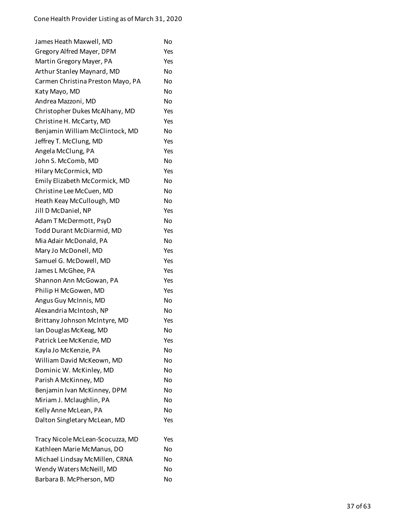| James Heath Maxwell, MD           | No  |
|-----------------------------------|-----|
| Gregory Alfred Mayer, DPM         | Yes |
| Martin Gregory Mayer, PA          | Yes |
| Arthur Stanley Maynard, MD        | Nο  |
| Carmen Christina Preston Mayo, PA | No  |
| Katy Mayo, MD                     | No  |
| Andrea Mazzoni, MD                | No  |
| Christopher Dukes McAlhany, MD    | Yes |
| Christine H. McCarty, MD          | Yes |
| Benjamin William McClintock, MD   | No  |
| Jeffrey T. McClung, MD            | Yes |
| Angela McClung, PA                | Yes |
| John S. McComb, MD                | No  |
| Hilary McCormick, MD              | Yes |
| Emily Elizabeth McCormick, MD     | No  |
| Christine Lee McCuen, MD          | No  |
| Heath Keay McCullough, MD         | No  |
| Jill D McDaniel, NP               | Yes |
| Adam T McDermott, PsyD            | No  |
| Todd Durant McDiarmid, MD         | Yes |
| Mia Adair McDonald, PA            | No  |
| Mary Jo McDonell, MD              | Yes |
| Samuel G. McDowell, MD            | Yes |
| James L McGhee, PA                | Yes |
| Shannon Ann McGowan, PA           | Yes |
| Philip H McGowen, MD              | Yes |
| Angus Guy McInnis, MD             | No  |
| Alexandria McIntosh, NP           | No  |
| Brittany Johnson McIntyre, MD     | Yes |
| Ian Douglas McKeag, MD            | No  |
| Patrick Lee McKenzie, MD          | Yes |
| Kayla Jo McKenzie, PA             | Nο  |
| William David McKeown, MD         | No  |
| Dominic W. McKinley, MD           | No  |
| Parish A McKinney, MD             | No  |
| Benjamin Ivan McKinney, DPM       | No  |
| Miriam J. Mclaughlin, PA          | No  |
| Kelly Anne McLean, PA             | No  |
| Dalton Singletary McLean, MD      | Yes |
| Tracy Nicole McLean-Scocuzza, MD  | Yes |
| Kathleen Marie McManus, DO        | No  |
| Michael Lindsay McMillen, CRNA    | No  |
| Wendy Waters McNeill, MD          | No  |
| Barbara B. McPherson, MD          | No  |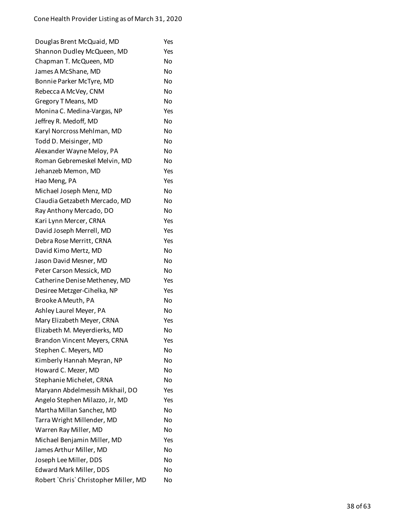| Douglas Brent McQuaid, MD             | Yes |
|---------------------------------------|-----|
| Shannon Dudley McQueen, MD            | Yes |
| Chapman T. McQueen, MD                | No  |
| James A McShane, MD                   | No  |
| Bonnie Parker McTyre, MD              | No  |
| Rebecca A McVey, CNM                  | No  |
| Gregory T Means, MD                   | No  |
| Monina C. Medina-Vargas, NP           | Yes |
| Jeffrey R. Medoff, MD                 | No  |
| Karyl Norcross Mehlman, MD            | No  |
| Todd D. Meisinger, MD                 | No  |
| Alexander Wayne Meloy, PA             | No  |
| Roman Gebremeskel Melvin, MD          | No  |
| Jehanzeb Memon, MD                    | Yes |
| Hao Meng, PA                          | Yes |
| Michael Joseph Menz, MD               | No  |
| Claudia Getzabeth Mercado, MD         | No  |
| Ray Anthony Mercado, DO               | No  |
| Kari Lynn Mercer, CRNA                | Yes |
| David Joseph Merrell, MD              | Yes |
| Debra Rose Merritt, CRNA              | Yes |
| David Kimo Mertz, MD                  | No  |
| Jason David Mesner, MD                | No  |
| Peter Carson Messick, MD              | No  |
| Catherine Denise Metheney, MD         | Yes |
| Desiree Metzger-Cihelka, NP           | Yes |
| Brooke A Meuth, PA                    | No  |
| Ashley Laurel Meyer, PA               | No  |
| Mary Elizabeth Meyer, CRNA            | Yes |
| Elizabeth M. Meyerdierks, MD          | No  |
| Brandon Vincent Meyers, CRNA          | Yes |
| Stephen C. Meyers, MD                 | No  |
| Kimberly Hannah Meyran, NP            | No  |
| Howard C. Mezer, MD                   | No  |
| Stephanie Michelet, CRNA              | No  |
| Maryann Abdelmessih Mikhail, DO       | Yes |
| Angelo Stephen Milazzo, Jr, MD        | Yes |
| Martha Millan Sanchez, MD             | No  |
| Tarra Wright Millender, MD            | No  |
| Warren Ray Miller, MD                 | No  |
| Michael Benjamin Miller, MD           | Yes |
| James Arthur Miller, MD               | No  |
| Joseph Lee Miller, DDS                | No  |
| Edward Mark Miller, DDS               | No  |
| Robert `Chris` Christopher Miller, MD | No  |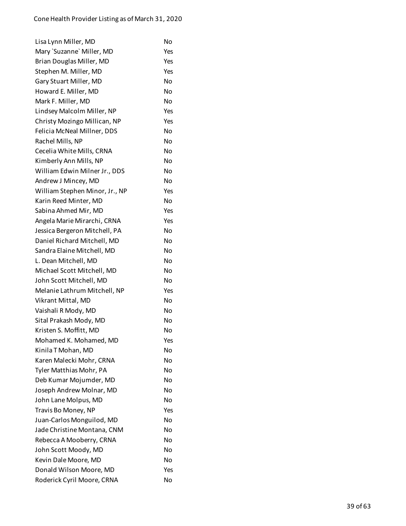| Lisa Lynn Miller, MD           | No        |
|--------------------------------|-----------|
| Mary `Suzanne` Miller, MD      | Yes       |
| Brian Douglas Miller, MD       | Yes       |
| Stephen M. Miller, MD          | Yes       |
| Gary Stuart Miller, MD         | No        |
| Howard E. Miller, MD           | No        |
| Mark F. Miller, MD             | No        |
| Lindsey Malcolm Miller, NP     | Yes       |
| Christy Mozingo Millican, NP   | Yes       |
| Felicia McNeal Millner, DDS    | No        |
| Rachel Mills, NP               | No        |
| Cecelia White Mills, CRNA      | No        |
| Kimberly Ann Mills, NP         | No        |
| William Edwin Milner Jr., DDS  | No        |
| Andrew J Mincey, MD            | No        |
| William Stephen Minor, Jr., NP | Yes       |
| Karin Reed Minter, MD          | No        |
| Sabina Ahmed Mir, MD           | Yes       |
| Angela Marie Mirarchi, CRNA    | Yes       |
| Jessica Bergeron Mitchell, PA  | No        |
| Daniel Richard Mitchell, MD    | No        |
| Sandra Elaine Mitchell, MD     | No        |
| L. Dean Mitchell, MD           | No        |
| Michael Scott Mitchell, MD     | No        |
| John Scott Mitchell, MD        | No        |
| Melanie Lathrum Mitchell, NP   | Yes       |
| Vikrant Mittal, MD             | No        |
| Vaishali R Mody, MD            | <b>No</b> |
| Sital Prakash Mody, MD         | No        |
| Kristen S. Moffitt, MD         | No        |
| Mohamed K. Mohamed, MD         | Yes       |
| Kinila T Mohan, MD             | No        |
| Karen Malecki Mohr, CRNA       | No        |
| Tyler Matthias Mohr, PA        | No        |
| Deb Kumar Mojumder, MD         | Nο        |
| Joseph Andrew Molnar, MD       | No        |
| John Lane Molpus, MD           | No        |
| Travis Bo Money, NP            | Yes       |
| Juan-Carlos Monguilod, MD      | No        |
| Jade Christine Montana, CNM    | No        |
| Rebecca A Mooberry, CRNA       | <b>No</b> |
| John Scott Moody, MD           | No        |
| Kevin Dale Moore, MD           | No        |
| Donald Wilson Moore, MD        | Yes       |
| Roderick Cyril Moore, CRNA     | No        |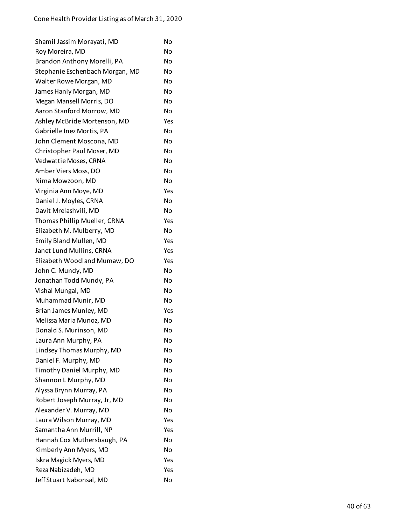| Shamil Jassim Morayati, MD      | No  |
|---------------------------------|-----|
| Roy Moreira, MD                 | No  |
| Brandon Anthony Morelli, PA     | No  |
| Stephanie Eschenbach Morgan, MD | N٥  |
| Walter Rowe Morgan, MD          | No  |
| James Hanly Morgan, MD          | No  |
| Megan Mansell Morris, DO        | No  |
| Aaron Stanford Morrow, MD       | No  |
| Ashley McBride Mortenson, MD    | Yes |
| Gabrielle Inez Mortis, PA       | No  |
| John Clement Moscona, MD        | No  |
| Christopher Paul Moser, MD      | No  |
| Vedwattie Moses, CRNA           | No  |
| Amber Viers Moss, DO            | No  |
| Nima Mowzoon, MD                | No  |
| Virginia Ann Moye, MD           | Yes |
| Daniel J. Moyles, CRNA          | No  |
| Davit Mrelashvili, MD           | No  |
| Thomas Phillip Mueller, CRNA    | Yes |
| Elizabeth M. Mulberry, MD       | No  |
| Emily Bland Mullen, MD          | Yes |
| Janet Lund Mullins, CRNA        | Yes |
| Elizabeth Woodland Mumaw, DO    | Yes |
| John C. Mundy, MD               | No  |
| Jonathan Todd Mundy, PA         | No  |
| Vishal Mungal, MD               | No  |
| Muhammad Munir, MD              | No  |
| Brian James Munley, MD          | Yes |
| Melissa Maria Munoz, MD         | No  |
| Donald S. Murinson, MD          | No  |
| Laura Ann Murphy, PA            | No  |
| Lindsey Thomas Murphy, MD       | No  |
| Daniel F. Murphy, MD            | No  |
| Timothy Daniel Murphy, MD       | No  |
| Shannon L Murphy, MD            | No  |
| Alyssa Brynn Murray, PA         | No  |
| Robert Joseph Murray, Jr, MD    | No  |
| Alexander V. Murray, MD         | No  |
| Laura Wilson Murray, MD         | Yes |
| Samantha Ann Murrill, NP        | Yes |
| Hannah Cox Muthersbaugh, PA     | No  |
| Kimberly Ann Myers, MD          | No  |
| Iskra Magick Myers, MD          | Yes |
| Reza Nabizadeh, MD              | Yes |
| Jeff Stuart Nabonsal, MD        | No  |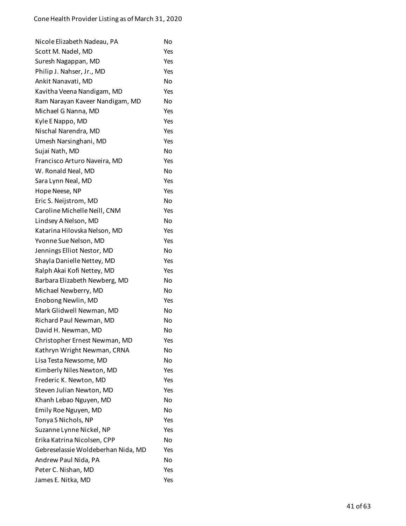| Nicole Elizabeth Nadeau, PA        | No             |
|------------------------------------|----------------|
| Scott M. Nadel, MD                 | Yes            |
| Suresh Nagappan, MD                | Yes            |
| Philip J. Nahser, Jr., MD          | Yes            |
| Ankit Nanavati, MD                 | No             |
| Kavitha Veena Nandigam, MD         | Yes            |
| Ram Narayan Kaveer Nandigam, MD    | No             |
| Michael G Nanna, MD                | Yes            |
| Kyle E Nappo, MD                   | Yes            |
| Nischal Narendra, MD               | Yes            |
| Umesh Narsinghani, MD              | Yes            |
| Sujai Nath, MD                     | No             |
| Francisco Arturo Naveira, MD       | Yes            |
| W. Ronald Neal, MD                 | N <sub>O</sub> |
| Sara Lynn Neal, MD                 | Yes            |
| Hope Neese, NP                     | Yes            |
| Eric S. Neijstrom, MD              | No             |
| Caroline Michelle Neill, CNM       | Yes            |
| Lindsey A Nelson, MD               | No             |
| Katarina Hilovska Nelson, MD       | Yes            |
| Yvonne Sue Nelson, MD              | Yes            |
| Jennings Elliot Nestor, MD         | No             |
| Shayla Danielle Nettey, MD         | Yes            |
| Ralph Akai Kofi Nettey, MD         | Yes            |
| Barbara Elizabeth Newberg, MD      | No             |
| Michael Newberry, MD               | No             |
| Enobong Newlin, MD                 | Yes            |
| Mark Glidwell Newman, MD           | No             |
| Richard Paul Newman, MD            | No             |
| David H. Newman, MD                | No             |
| Christopher Ernest Newman, MD      | Yes            |
| Kathryn Wright Newman, CRNA        | No             |
| Lisa Testa Newsome, MD             | N <sub>O</sub> |
| Kimberly Niles Newton, MD          | Yes            |
| Frederic K. Newton, MD             | Yes            |
| Steven Julian Newton, MD           | Yes            |
| Khanh Lebao Nguyen, MD             | No             |
| Emily Roe Nguyen, MD               | No             |
| Tonya S Nichols, NP                | Yes            |
| Suzanne Lynne Nickel, NP           | Yes            |
| Erika Katrina Nicolsen, CPP        | No             |
| Gebreselassie Woldeberhan Nida, MD | Yes            |
| Andrew Paul Nida, PA               | No             |
| Peter C. Nishan, MD                | Yes            |
| James E. Nitka, MD                 | Yes            |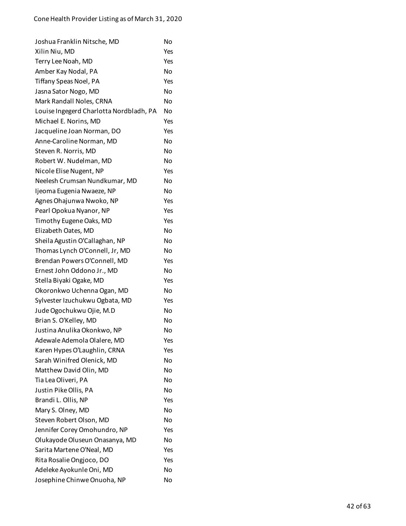| Joshua Franklin Nitsche, MD             | No  |
|-----------------------------------------|-----|
| Xilin Niu, MD                           | Yes |
| Terry Lee Noah, MD                      | Yes |
| Amber Kay Nodal, PA                     | No  |
| Tiffany Speas Noel, PA                  | Yes |
| Jasna Sator Nogo, MD                    | No  |
| Mark Randall Noles, CRNA                | No  |
| Louise Ingegerd Charlotta Nordbladh, PA | No  |
| Michael E. Norins, MD                   | Yes |
| Jacqueline Joan Norman, DO              | Yes |
| Anne-Caroline Norman, MD                | No  |
| Steven R. Norris, MD                    | No  |
| Robert W. Nudelman, MD                  | No  |
| Nicole Elise Nugent, NP                 | Yes |
| Neelesh Crumsan Nundkumar, MD           | No  |
| Ijeoma Eugenia Nwaeze, NP               | No  |
| Agnes Ohajunwa Nwoko, NP                | Yes |
| Pearl Opokua Nyanor, NP                 | Yes |
| Timothy Eugene Oaks, MD                 | Yes |
| Elizabeth Oates, MD                     | No  |
| Sheila Agustin O'Callaghan, NP          | No  |
| Thomas Lynch O'Connell, Jr, MD          | No  |
| Brendan Powers O'Connell, MD            | Yes |
| Ernest John Oddono Jr., MD              | No  |
| Stella Biyaki Ogake, MD                 | Yes |
| Okoronkwo Uchenna Ogan, MD              | No  |
| Sylvester Izuchukwu Ogbata, MD          | Yes |
| Jude Ogochukwu Ojie, M.D                | No  |
| Brian S. O'Kelley, MD                   | No  |
| Justina Anulika Okonkwo, NP             | No  |
| Adewale Ademola Olalere, MD             | Yes |
| Karen Hypes O'Laughlin, CRNA            | Yes |
| Sarah Winifred Olenick, MD              | No  |
| Matthew David Olin, MD                  | No  |
| Tia Lea Oliveri, PA                     | No  |
| Justin Pike Ollis, PA                   | No  |
| Brandi L. Ollis, NP                     | Yes |
| Mary S. Olney, MD                       | No  |
| Steven Robert Olson, MD                 | No  |
| Jennifer Corey Omohundro, NP            | Yes |
| Olukayode Oluseun Onasanya, MD          | No  |
| Sarita Martene O'Neal, MD               | Yes |
| Rita Rosalie Ongjoco, DO                | Yes |
| Adeleke Ayokunle Oni, MD                | No  |
| Josephine Chinwe Onuoha, NP             | No  |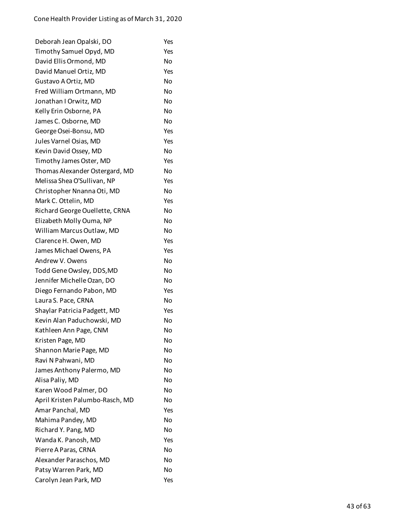| Deborah Jean Opalski, DO        | Yes |
|---------------------------------|-----|
| Timothy Samuel Opyd, MD         | Yes |
| David Ellis Ormond, MD          | No  |
| David Manuel Ortiz, MD          | Yes |
| Gustavo A Ortiz, MD             | No  |
| Fred William Ortmann, MD        | No  |
| Jonathan I Orwitz, MD           | No  |
| Kelly Erin Osborne, PA          | No  |
| James C. Osborne, MD            | No  |
| George Osei-Bonsu, MD           | Yes |
| Jules Varnel Osias, MD          | Yes |
| Kevin David Ossey, MD           | No  |
| Timothy James Oster, MD         | Yes |
| Thomas Alexander Ostergard, MD  | No  |
| Melissa Shea O'Sullivan, NP     | Yes |
| Christopher Nnanna Oti, MD      | No  |
| Mark C. Ottelin, MD             | Yes |
| Richard George Ouellette, CRNA  | No  |
| Elizabeth Molly Ouma, NP        | No  |
| William Marcus Outlaw, MD       | No  |
| Clarence H. Owen, MD            | Yes |
| James Michael Owens, PA         | Yes |
| Andrew V. Owens                 | No  |
| Todd Gene Owsley, DDS, MD       | No  |
| Jennifer Michelle Ozan, DO      | No  |
| Diego Fernando Pabon, MD        | Yes |
| Laura S. Pace, CRNA             | No  |
| Shaylar Patricia Padgett, MD    | Yes |
| Kevin Alan Paduchowski, MD      | No  |
| Kathleen Ann Page, CNM          | No  |
| Kristen Page, MD                | No  |
| Shannon Marie Page, MD          | No  |
| Ravi N Pahwani, MD              | No  |
| James Anthony Palermo, MD       | No  |
| Alisa Paliy, MD                 | No  |
| Karen Wood Palmer, DO           | No  |
| April Kristen Palumbo-Rasch, MD | No  |
| Amar Panchal, MD                | Yes |
| Mahima Pandey, MD               | No  |
| Richard Y. Pang, MD             | No  |
| Wanda K. Panosh, MD             | Yes |
| Pierre A Paras, CRNA            | No  |
| Alexander Paraschos, MD         | No  |
| Patsy Warren Park, MD           | No  |
| Carolyn Jean Park, MD           | Yes |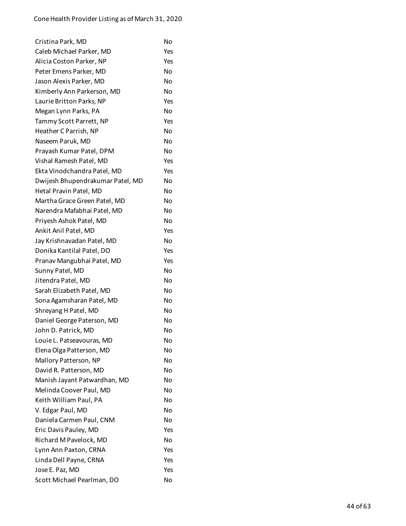| Cristina Park, MD                | No        |
|----------------------------------|-----------|
| Caleb Michael Parker, MD         | Yes       |
| Alicia Coston Parker, NP         | Yes       |
| Peter Emens Parker, MD           | No        |
| Jason Alexis Parker, MD          | No        |
| Kimberly Ann Parkerson, MD       | No        |
| Laurie Britton Parks, NP         | Yes       |
| Megan Lynn Parks, PA             | No        |
| Tammy Scott Parrett, NP          | Yes       |
| Heather C Parrish, NP            | No        |
| Naseem Paruk, MD                 | No        |
| Prayash Kumar Patel, DPM         | No        |
| Vishal Ramesh Patel, MD          | Yes       |
| Ekta Vinodchandra Patel, MD      | Yes       |
| Dwijesh Bhupendrakumar Patel, MD | <b>No</b> |
| Hetal Pravin Patel, MD           | No        |
| Martha Grace Green Patel, MD     | Nο        |
| Narendra Mafabhai Patel, MD      | No        |
| Priyesh Ashok Patel, MD          | <b>No</b> |
| Ankit Anil Patel, MD             | Yes       |
| Jay Krishnavadan Patel, MD       | No        |
| Donika Kantilal Patel, DO        | Yes       |
| Pranav Mangubhai Patel, MD       | Yes       |
| Sunny Patel, MD                  | No        |
| Jitendra Patel, MD               | No        |
| Sarah Elizabeth Patel, MD        | No        |
| Sona Agamsharan Patel, MD        | No        |
| Shreyang H Patel, MD             | No        |
| Daniel George Paterson, MD       | No        |
| John D. Patrick, MD              | No        |
| Louie L. Patseavouras, MD        | No        |
| Elena Olga Patterson, MD         | No        |
| Mallory Patterson, NP            | No        |
| David R. Patterson, MD           | No        |
| Manish Jayant Patwardhan, MD     | No        |
| Melinda Coover Paul, MD          | No        |
| Keith William Paul, PA           | No        |
| V. Edgar Paul, MD                | No        |
| Daniela Carmen Paul, CNM         | No        |
| Eric Davis Pauley, MD            | Yes       |
| Richard M Pavelock, MD           | No        |
| Lynn Ann Paxton, CRNA            | Yes       |
| Linda Dell Payne, CRNA           | Yes       |
| Jose E. Paz, MD                  | Yes       |
| Scott Michael Pearlman, DO       | No        |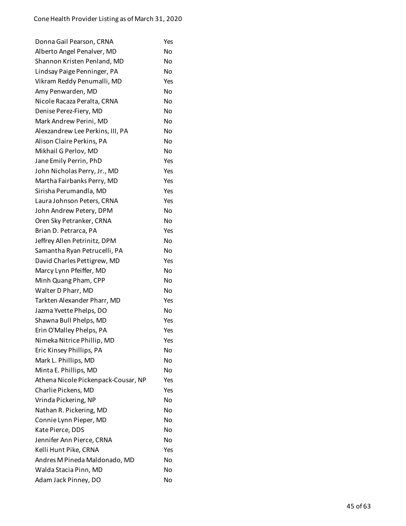| Donna Gail Pearson, CRNA            | Yes       |
|-------------------------------------|-----------|
| Alberto Angel Penalver, MD          | No        |
| Shannon Kristen Penland, MD         | No        |
| Lindsay Paige Penninger, PA         | No        |
| Vikram Reddy Penumalli, MD          | Yes       |
| Amy Penwarden, MD                   | No        |
| Nicole Racaza Peralta, CRNA         | No        |
| Denise Perez-Fiery, MD              | No        |
| Mark Andrew Perini, MD              | No        |
| Alexzandrew Lee Perkins, III, PA    | No        |
| Alison Claire Perkins, PA           | No        |
| Mikhail G Perlov, MD                | No        |
| Jane Emily Perrin, PhD              | Yes       |
| John Nicholas Perry, Jr., MD        | Yes       |
| Martha Fairbanks Perry, MD          | Yes       |
| Sirisha Perumandla, MD              | Yes       |
| Laura Johnson Peters, CRNA          | Yes       |
| John Andrew Petery, DPM             | No        |
| Oren Sky Petranker, CRNA            | No        |
| Brian D. Petrarca, PA               | Yes       |
| Jeffrey Allen Petrinitz, DPM        | No        |
| Samantha Ryan Petrucelli, PA        | No        |
| David Charles Pettigrew, MD         | Yes       |
| Marcy Lynn Pfeiffer, MD             | No        |
| Minh Quang Pham, CPP                | No        |
| Walter D Pharr, MD                  | No        |
| Tarkten Alexander Pharr, MD         | Yes       |
| Jazma Yvette Phelps, DO             | No        |
| Shawna Bull Phelps, MD              | Yes       |
| Erin O'Malley Phelps, PA            | Yes       |
| Nimeka Nitrice Phillip, MD          | Yes       |
| Eric Kinsey Phillips, PA            | No        |
| Mark L. Phillips, MD                | No        |
| Minta E. Phillips, MD               | <b>No</b> |
| Athena Nicole Pickenpack-Cousar, NP | Yes       |
| Charlie Pickens, MD                 | Yes       |
| Vrinda Pickering, NP                | No        |
| Nathan R. Pickering, MD             | No        |
| Connie Lynn Pieper, MD              | No        |
| Kate Pierce, DDS                    | <b>No</b> |
| Jennifer Ann Pierce, CRNA           | No        |
| Kelli Hunt Pike, CRNA               | Yes       |
| Andres M Pineda Maldonado, MD       | <b>No</b> |
| Walda Stacia Pinn, MD               | No        |
| Adam Jack Pinney, DO                | No        |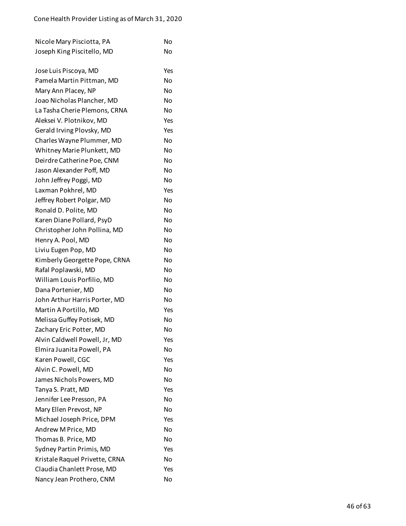| Nicole Mary Pisciotta, PA      | No        |
|--------------------------------|-----------|
| Joseph King Piscitello, MD     | No        |
|                                |           |
| Jose Luis Piscoya, MD          | Yes       |
| Pamela Martin Pittman, MD      | No        |
| Mary Ann Placey, NP            | No        |
| Joao Nicholas Plancher, MD     | No        |
| La Tasha Cherie Plemons, CRNA  | No        |
| Aleksei V. Plotnikov, MD       | Yes       |
| Gerald Irving Plovsky, MD      | Yes       |
| Charles Wayne Plummer, MD      | No        |
| Whitney Marie Plunkett, MD     | No        |
| Deirdre Catherine Poe, CNM     | No        |
| Jason Alexander Poff, MD       | No        |
| John Jeffrey Poggi, MD         | No        |
| Laxman Pokhrel, MD             | Yes       |
| Jeffrey Robert Polgar, MD      | No        |
| Ronald D. Polite, MD           | No        |
| Karen Diane Pollard, PsyD      | No        |
| Christopher John Pollina, MD   | <b>No</b> |
| Henry A. Pool, MD              | No        |
| Liviu Eugen Pop, MD            | No        |
| Kimberly Georgette Pope, CRNA  | No        |
| Rafal Poplawski, MD            | No        |
| William Louis Porfilio, MD     | No        |
| Dana Portenier, MD             | No        |
| John Arthur Harris Porter, MD  | <b>No</b> |
| Martin A Portillo, MD          | Yes       |
| Melissa Guffey Potisek, MD     | No        |
| Zachary Eric Potter, MD        | No        |
| Alvin Caldwell Powell, Jr, MD  | Yes       |
| Elmira Juanita Powell, PA      | No        |
| Karen Powell, CGC              | Yes       |
| Alvin C. Powell, MD            | No        |
| James Nichols Powers, MD       | No        |
| Tanya S. Pratt, MD             | Yes       |
| Jennifer Lee Presson, PA       | No        |
| Mary Ellen Prevost, NP         | <b>No</b> |
| Michael Joseph Price, DPM      | Yes       |
| Andrew M Price, MD             | No        |
| Thomas B. Price, MD            | No        |
| Sydney Partin Primis, MD       | Yes       |
| Kristale Raquel Privette, CRNA | No        |
| Claudia Chanlett Prose, MD     | Yes       |
|                                |           |

Nancy Jean Prothero, CNM No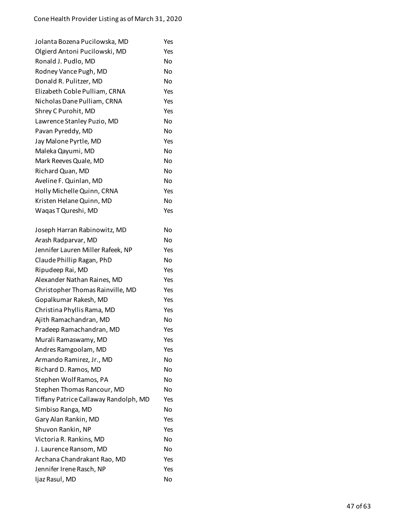| Jolanta Bozena Pucilowska, MD         | Yes       |
|---------------------------------------|-----------|
| Olgierd Antoni Pucilowski, MD         | Yes       |
| Ronald J. Pudlo, MD                   | No        |
| Rodney Vance Pugh, MD                 | <b>No</b> |
| Donald R. Pulitzer, MD                | No        |
| Elizabeth Coble Pulliam, CRNA         | Yes       |
| Nicholas Dane Pulliam, CRNA           | Yes       |
| Shrey C Purohit, MD                   | Yes       |
| Lawrence Stanley Puzio, MD            | No        |
| Pavan Pyreddy, MD                     | <b>No</b> |
| Jay Malone Pyrtle, MD                 | Yes       |
| Maleka Qayumi, MD                     | <b>No</b> |
| Mark Reeves Quale, MD                 | No        |
| Richard Quan, MD                      | <b>No</b> |
| Aveline F. Quinlan, MD                | <b>No</b> |
| Holly Michelle Quinn, CRNA            | Yes       |
| Kristen Helane Quinn, MD              | No        |
| Waqas T Qureshi, MD                   | Yes       |
| Joseph Harran Rabinowitz, MD          | No        |
| Arash Radparvar, MD                   | No        |
| Jennifer Lauren Miller Rafeek, NP     | Yes       |
| Claude Phillip Ragan, PhD             | No        |
| Ripudeep Rai, MD                      | Yes       |
| Alexander Nathan Raines, MD           | Yes       |
| Christopher Thomas Rainville, MD      | Yes       |
| Gopalkumar Rakesh, MD                 | Yes       |
| Christina Phyllis Rama, MD            | Yes       |
| Ajith Ramachandran, MD                | No        |
| Pradeep Ramachandran, MD              | Yes       |
| Murali Ramaswamy, MD                  | Yes       |
| Andres Ramgoolam, MD                  | Yes       |
| Armando Ramirez, Jr., MD              | No        |
| Richard D. Ramos, MD                  | No        |
| Stephen Wolf Ramos, PA                | No        |
| Stephen Thomas Rancour, MD            | No        |
| Tiffany Patrice Callaway Randolph, MD | Yes       |
| Simbiso Ranga, MD                     | No        |
| Gary Alan Rankin, MD                  | Yes       |
| Shuvon Rankin, NP                     | Yes       |
| Victoria R. Rankins, MD               | No        |
| J. Laurence Ransom, MD                | No        |
| Archana Chandrakant Rao, MD           | Yes       |
| Jennifer Irene Rasch, NP              | Yes       |
| Ijaz Rasul, MD                        | No        |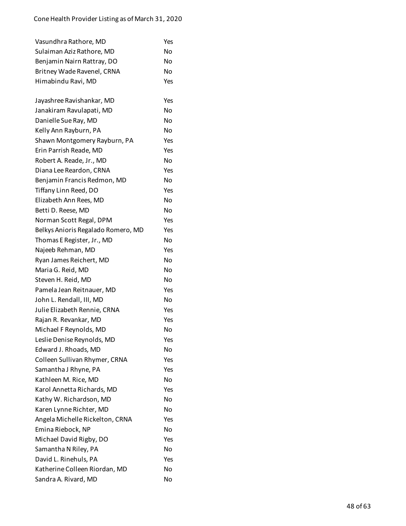| Vasundhra Rathore, MD              | Yes |
|------------------------------------|-----|
| Sulaiman Aziz Rathore, MD          | No  |
| Benjamin Nairn Rattray, DO         | No  |
| Britney Wade Ravenel, CRNA         | No  |
| Himabindu Ravi, MD                 | Yes |
|                                    |     |
| Jayashree Ravishankar, MD          | Yes |
| Janakiram Ravulapati, MD           | No  |
| Danielle Sue Ray, MD               | No  |
| Kelly Ann Rayburn, PA              | No  |
| Shawn Montgomery Rayburn, PA       | Yes |
| Erin Parrish Reade, MD             | Yes |
| Robert A. Reade, Jr., MD           | No  |
| Diana Lee Reardon, CRNA            | Yes |
| Benjamin Francis Redmon, MD        | No  |
| Tiffany Linn Reed, DO              | Yes |
| Elizabeth Ann Rees, MD             | No  |
| Betti D. Reese, MD                 | No  |
| Norman Scott Regal, DPM            | Yes |
| Belkys Anioris Regalado Romero, MD | Yes |
| Thomas E Register, Jr., MD         | No  |
| Najeeb Rehman, MD                  | Yes |
| Ryan James Reichert, MD            | No  |
| Maria G. Reid, MD                  | No  |
| Steven H. Reid, MD                 | No  |
| Pamela Jean Reitnauer, MD          | Yes |
| John L. Rendall, III, MD           | No  |
| Julie Elizabeth Rennie, CRNA       | Yes |
| Rajan R. Revankar, MD              | Yes |
| Michael F Reynolds, MD             | No  |
| Leslie Denise Reynolds, MD         | Yes |
| Edward J. Rhoads, MD               | No  |
| Colleen Sullivan Rhymer, CRNA      | Yes |
| Samantha J Rhyne, PA               | Yes |
| Kathleen M. Rice, MD               | No  |
| Karol Annetta Richards, MD         | Yes |
| Kathy W. Richardson, MD            | No  |
| Karen Lynne Richter, MD            | No  |
| Angela Michelle Rickelton, CRNA    | Yes |
| Emina Riebock, NP                  | No  |
| Michael David Rigby, DO            | Yes |
| Samantha N Riley, PA               | No  |
| David L. Rinehuls, PA              | Yes |
| Katherine Colleen Riordan, MD      | No  |
| Sandra A. Rivard, MD               | No  |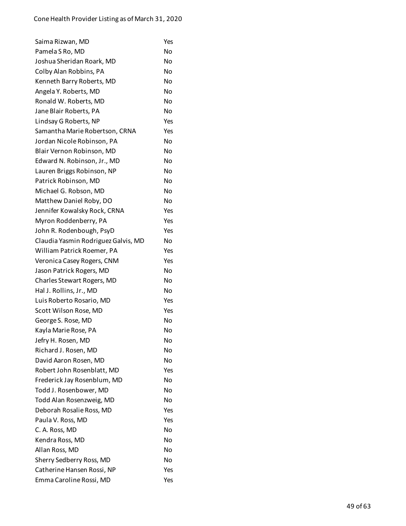| Saima Rizwan, MD                    | Yes |
|-------------------------------------|-----|
| Pamela S Ro, MD                     | No  |
| Joshua Sheridan Roark, MD           | No  |
| Colby Alan Robbins, PA              | No  |
| Kenneth Barry Roberts, MD           | No  |
| Angela Y. Roberts, MD               | No  |
| Ronald W. Roberts, MD               | No  |
| Jane Blair Roberts, PA              | No  |
| Lindsay G Roberts, NP               | Yes |
| Samantha Marie Robertson, CRNA      | Yes |
| Jordan Nicole Robinson, PA          | No  |
| Blair Vernon Robinson, MD           | No  |
| Edward N. Robinson, Jr., MD         | No  |
| Lauren Briggs Robinson, NP          | Nο  |
| Patrick Robinson, MD                | No  |
| Michael G. Robson, MD               | No  |
| Matthew Daniel Roby, DO             | No  |
| Jennifer Kowalsky Rock, CRNA        | Yes |
| Myron Roddenberry, PA               | Yes |
| John R. Rodenbough, PsyD            | Yes |
| Claudia Yasmin Rodriguez Galvis, MD | No  |
| William Patrick Roemer, PA          | Yes |
| Veronica Casey Rogers, CNM          | Yes |
| Jason Patrick Rogers, MD            | No  |
| Charles Stewart Rogers, MD          | No  |
| Hal J. Rollins, Jr., MD             | No  |
| Luis Roberto Rosario, MD            | Yes |
| Scott Wilson Rose, MD               | Yes |
| George S. Rose, MD                  | No  |
| Kayla Marie Rose, PA                | No  |
| Jefry H. Rosen, MD                  | No  |
| Richard J. Rosen, MD                | No  |
| David Aaron Rosen, MD               | No  |
| Robert John Rosenblatt, MD          | Yes |
| Frederick Jay Rosenblum, MD         | N٥  |
| Todd J. Rosenbower, MD              | Nο  |
| Todd Alan Rosenzweig, MD            | No  |
| Deborah Rosalie Ross, MD            | Yes |
| Paula V. Ross, MD                   | Yes |
| C. A. Ross, MD                      | No  |
| Kendra Ross, MD                     | No  |
| Allan Ross, MD                      | No  |
| Sherry Sedberry Ross, MD            | No  |
| Catherine Hansen Rossi, NP          | Yes |
| Emma Caroline Rossi, MD             | Yes |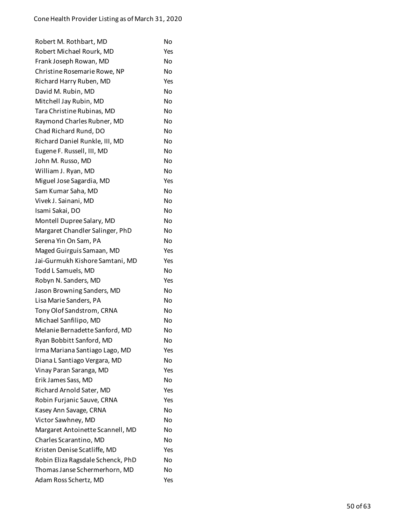| Robert M. Rothbart, MD            | No  |
|-----------------------------------|-----|
| Robert Michael Rourk, MD          | Yes |
| Frank Joseph Rowan, MD            | No  |
| Christine Rosemarie Rowe, NP      | No  |
| Richard Harry Ruben, MD           | Yes |
| David M. Rubin, MD                | No  |
| Mitchell Jay Rubin, MD            | No  |
| Tara Christine Rubinas, MD        | No  |
| Raymond Charles Rubner, MD        | No  |
| Chad Richard Rund, DO             | No  |
| Richard Daniel Runkle, III, MD    | No  |
| Eugene F. Russell, III, MD        | No  |
| John M. Russo, MD                 | No  |
| William J. Ryan, MD               | No  |
| Miguel Jose Sagardia, MD          | Yes |
| Sam Kumar Saha, MD                | No  |
| Vivek J. Sainani, MD              | No  |
| Isami Sakai, DO                   | No  |
| Montell Dupree Salary, MD         | No  |
| Margaret Chandler Salinger, PhD   | No  |
| Serena Yin On Sam, PA             | No  |
| Maged Guirguis Samaan, MD         | Yes |
| Jai-Gurmukh Kishore Samtani, MD   | Yes |
| Todd L Samuels, MD                | No  |
| Robyn N. Sanders, MD              | Yes |
| Jason Browning Sanders, MD        | No  |
| Lisa Marie Sanders, PA            | No  |
| Tony Olof Sandstrom, CRNA         | No  |
| Michael Sanfilipo, MD             | No  |
| Melanie Bernadette Sanford, MD    | No  |
| Ryan Bobbitt Sanford, MD          | No  |
| Irma Mariana Santiago Lago, MD    | Yes |
| Diana L Santiago Vergara, MD      | No  |
| Vinay Paran Saranga, MD           | Yes |
| Erik James Sass, MD               | No  |
| Richard Arnold Sater, MD          | Yes |
| Robin Furjanic Sauve, CRNA        | Yes |
| Kasey Ann Savage, CRNA            | No  |
| Victor Sawhney, MD                | No  |
| Margaret Antoinette Scannell, MD  | No  |
| Charles Scarantino, MD            | No  |
| Kristen Denise Scatliffe, MD      | Yes |
| Robin Eliza Ragsdale Schenck, PhD | No  |
| Thomas Janse Schermerhorn, MD     | No  |
| Adam Ross Schertz, MD             | Yes |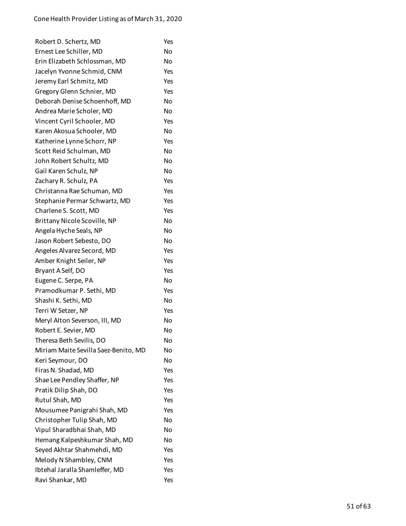| Robert D. Schertz, MD                | Yes |
|--------------------------------------|-----|
| Ernest Lee Schiller, MD              | No  |
| Erin Elizabeth Schlossman, MD        | No  |
| Jacelyn Yvonne Schmid, CNM           | Yes |
| Jeremy Earl Schmitz, MD              | Yes |
| Gregory Glenn Schnier, MD            | Yes |
| Deborah Denise Schoenhoff, MD        | No  |
| Andrea Marie Scholer, MD             | No  |
| Vincent Cyril Schooler, MD           | Yes |
| Karen Akosua Schooler, MD            | No  |
| Katherine Lynne Schorr, NP           | Yes |
| Scott Reid Schulman, MD              | No  |
| John Robert Schultz, MD              | No  |
| Gail Karen Schulz, NP                | No  |
| Zachary R. Schulz, PA                | Yes |
| Christanna Rae Schuman, MD           | Yes |
| Stephanie Permar Schwartz, MD        | Yes |
| Charlene S. Scott, MD                | Yes |
| Brittany Nicole Scoville, NP         | No  |
| Angela Hyche Seals, NP               | No  |
| Jason Robert Sebesto, DO             | No  |
| Angeles Alvarez Secord, MD           | Yes |
| Amber Knight Seiler, NP              | Yes |
| Bryant A Self, DO                    | Yes |
| Eugene C. Serpe, PA                  | No  |
| Pramodkumar P. Sethi, MD             | Yes |
| Shashi K. Sethi, MD                  | No  |
| Terri W Setzer, NP                   | Yes |
| Meryl Alton Severson, III, MD        | No  |
| Robert E. Sevier, MD                 | No  |
| Theresa Beth Sevilis, DO             | No  |
| Miriam Maite Sevilla Saez-Benito, MD | No  |
| Keri Seymour, DO                     | No  |
| Firas N. Shadad, MD                  | Yes |
| Shae Lee Pendley Shaffer, NP         | Yes |
| Pratik Dilip Shah, DO                | Yes |
| Rutul Shah, MD                       | Yes |
| Mousumee Panigrahi Shah, MD          | Yes |
| Christopher Tulip Shah, MD           | No  |
| Vipul Sharadbhai Shah, MD            | No  |
| Hemang Kalpeshkumar Shah, MD         | No  |
| Seyed Akhtar Shahmehdi, MD           | Yes |
| Melody N Shambley, CNM               | Yes |
| Ibtehal Jaralla Shamleffer, MD       | Yes |
| Ravi Shankar, MD                     | Yes |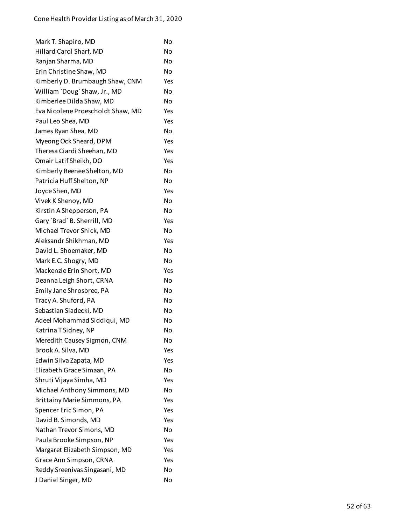| Mark T. Shapiro, MD                | No  |
|------------------------------------|-----|
| Hillard Carol Sharf, MD            | No  |
| Ranjan Sharma, MD                  | No  |
| Erin Christine Shaw, MD            | No  |
| Kimberly D. Brumbaugh Shaw, CNM    | Yes |
| William 'Doug' Shaw, Jr., MD       | No  |
| Kimberlee Dilda Shaw, MD           | No  |
| Eva Nicolene Proescholdt Shaw, MD  | Yes |
| Paul Leo Shea, MD                  | Yes |
| James Ryan Shea, MD                | No  |
| Myeong Ock Sheard, DPM             | Yes |
| Theresa Ciardi Sheehan, MD         | Yes |
| Omair Latif Sheikh, DO             | Yes |
| Kimberly Reenee Shelton, MD        | No  |
| Patricia Huff Shelton, NP          | No  |
| Joyce Shen, MD                     | Yes |
| Vivek K Shenoy, MD                 | No  |
| Kirstin A Shepperson, PA           | No  |
| Gary `Brad` B. Sherrill, MD        | Yes |
| Michael Trevor Shick, MD           | No  |
| Aleksandr Shikhman, MD             | Yes |
| David L. Shoemaker, MD             | No  |
| Mark E.C. Shogry, MD               | No  |
| Mackenzie Erin Short, MD           | Yes |
| Deanna Leigh Short, CRNA           | No  |
| Emily Jane Shrosbree, PA           | No  |
| Tracy A. Shuford, PA               | No  |
| Sebastian Siadecki, MD             | No  |
| Adeel Mohammad Siddiqui, MD        | No  |
| Katrina T Sidney, NP               | No  |
| Meredith Causey Sigmon, CNM        | No  |
| Brook A. Silva, MD                 | Yes |
| Edwin Silva Zapata, MD             | Yes |
| Elizabeth Grace Simaan, PA         | No  |
| Shruti Vijaya Simha, MD            | Yes |
| Michael Anthony Simmons, MD        | No  |
| <b>Brittainy Marie Simmons, PA</b> | Yes |
| Spencer Eric Simon, PA             | Yes |
| David B. Simonds, MD               | Yes |
| Nathan Trevor Simons, MD           | No  |
| Paula Brooke Simpson, NP           | Yes |
| Margaret Elizabeth Simpson, MD     | Yes |
| Grace Ann Simpson, CRNA            | Yes |
| Reddy Sreenivas Singasani, MD      | No  |
| J Daniel Singer, MD                | No  |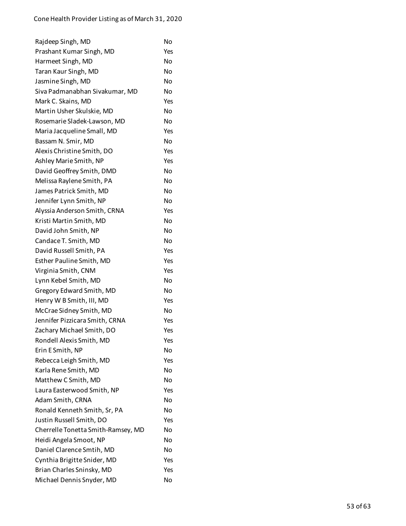| Rajdeep Singh, MD                  | No        |
|------------------------------------|-----------|
| Prashant Kumar Singh, MD           | Yes       |
| Harmeet Singh, MD                  | No        |
| Taran Kaur Singh, MD               | No        |
| Jasmine Singh, MD                  | No        |
| Siva Padmanabhan Sivakumar, MD     | No        |
| Mark C. Skains, MD                 | Yes       |
| Martin Usher Skulskie, MD          | No        |
| Rosemarie Sladek-Lawson, MD        | No        |
| Maria Jacqueline Small, MD         | Yes       |
| Bassam N. Smir, MD                 | No        |
| Alexis Christine Smith, DO         | Yes       |
| Ashley Marie Smith, NP             | Yes       |
| David Geoffrey Smith, DMD          | No        |
| Melissa Raylene Smith, PA          | No        |
| James Patrick Smith, MD            | <b>No</b> |
| Jennifer Lynn Smith, NP            | No        |
| Alyssia Anderson Smith, CRNA       | Yes       |
| Kristi Martin Smith, MD            | No        |
| David John Smith, NP               | No        |
| Candace T. Smith, MD               | No        |
| David Russell Smith, PA            | Yes       |
| Esther Pauline Smith, MD           | Yes       |
| Virginia Smith, CNM                | Yes       |
| Lynn Kebel Smith, MD               | No        |
| Gregory Edward Smith, MD           | No        |
| Henry W B Smith, III, MD           | Yes       |
| McCrae Sidney Smith, MD            | No        |
| Jennifer Pizzicara Smith, CRNA     | Yes       |
| Zachary Michael Smith, DO          | Yes       |
| Rondell Alexis Smith, MD           | Yes       |
| Erin E Smith, NP                   | No        |
| Rebecca Leigh Smith, MD            | Yes       |
| Karla Rene Smith, MD               | No        |
| Matthew C Smith, MD                | No        |
| Laura Easterwood Smith, NP         | Yes       |
| Adam Smith, CRNA                   | No        |
| Ronald Kenneth Smith, Sr, PA       | No        |
| Justin Russell Smith, DO           | Yes       |
| Cherrelle Tonetta Smith-Ramsey, MD | No        |
| Heidi Angela Smoot, NP             | No        |
| Daniel Clarence Smtih, MD          | No        |
| Cynthia Brigitte Snider, MD        | Yes       |
| Brian Charles Sninsky, MD          | Yes       |
| Michael Dennis Snyder, MD          | No        |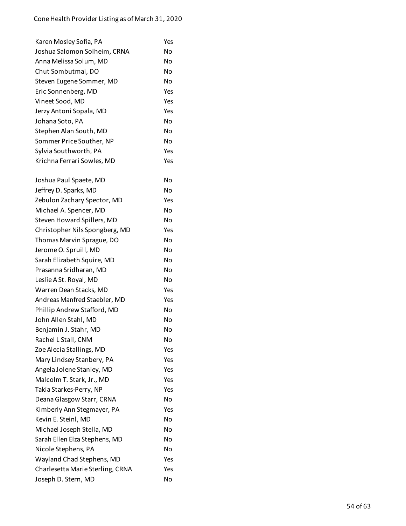| Karen Mosley Sofia, PA           | Yes |
|----------------------------------|-----|
| Joshua Salomon Solheim, CRNA     | No  |
| Anna Melissa Solum, MD           | No  |
| Chut Sombutmai, DO               | No  |
| Steven Eugene Sommer, MD         | No  |
| Eric Sonnenberg, MD              | Yes |
| Vineet Sood, MD                  | Yes |
| Jerzy Antoni Sopala, MD          | Yes |
| Johana Soto, PA                  | No  |
| Stephen Alan South, MD           | No  |
| Sommer Price Souther, NP         | No  |
| Sylvia Southworth, PA            | Yes |
| Krichna Ferrari Sowles, MD       | Yes |
| Joshua Paul Spaete, MD           | No  |
| Jeffrey D. Sparks, MD            | No  |
| Zebulon Zachary Spector, MD      | Yes |
| Michael A. Spencer, MD           | No  |
| Steven Howard Spillers, MD       | No  |
| Christopher Nils Spongberg, MD   | Yes |
| Thomas Marvin Sprague, DO        | No  |
| Jerome O. Spruill, MD            | No  |
| Sarah Elizabeth Squire, MD       | No  |
| Prasanna Sridharan, MD           | No  |
| Leslie A St. Royal, MD           | No  |
| Warren Dean Stacks, MD           | Yes |
| Andreas Manfred Staebler, MD     | Yes |
| Phillip Andrew Stafford, MD      | No  |
| John Allen Stahl, MD             | No  |
| Benjamin J. Stahr, MD            | No  |
| Rachel L Stall, CNM              | No  |
| Zoe Alecia Stallings, MD         | Yes |
| Mary Lindsey Stanbery, PA        | Yes |
| Angela Jolene Stanley, MD        | Yes |
| Malcolm T. Stark, Jr., MD        | Yes |
| Takia Starkes-Perry, NP          | Yes |
| Deana Glasgow Starr, CRNA        | No  |
| Kimberly Ann Stegmayer, PA       | Yes |
| Kevin E. Steinl, MD              | No  |
| Michael Joseph Stella, MD        | No  |
| Sarah Ellen Elza Stephens, MD    | No  |
| Nicole Stephens, PA              | No  |
| Wayland Chad Stephens, MD        | Yes |
| Charlesetta Marie Sterling, CRNA | Yes |
| Joseph D. Stern, MD              | No  |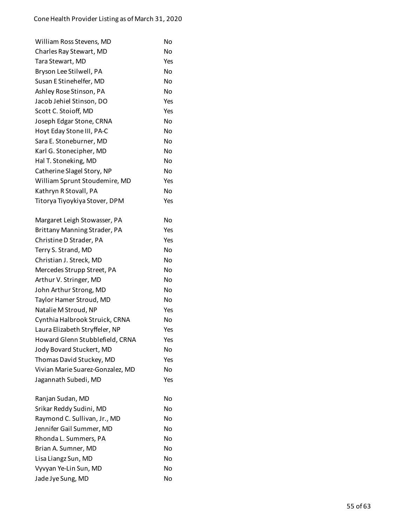| William Ross Stevens, MD         | No        |
|----------------------------------|-----------|
| Charles Ray Stewart, MD          | No        |
| Tara Stewart, MD                 | Yes       |
| Bryson Lee Stilwell, PA          | No        |
| Susan E Stinehelfer, MD          | No        |
| Ashley Rose Stinson, PA          | No        |
| Jacob Jehiel Stinson, DO         | Yes       |
| Scott C. Stoioff, MD             | Yes       |
| Joseph Edgar Stone, CRNA         | No        |
| Hoyt Eday Stone III, PA-C        | No        |
| Sara E. Stoneburner, MD          | No        |
| Karl G. Stonecipher, MD          | No        |
| Hal T. Stoneking, MD             | No        |
| Catherine Slagel Story, NP       | <b>No</b> |
| William Sprunt Stoudemire, MD    | Yes       |
| Kathryn R Stovall, PA            | No        |
| Titorya Tiyoykiya Stover, DPM    | Yes       |
| Margaret Leigh Stowasser, PA     | No        |
| Brittany Manning Strader, PA     | Yes       |
| Christine D Strader, PA          | Yes       |
| Terry S. Strand, MD              | No        |
| Christian J. Streck, MD          | No        |
| Mercedes Strupp Street, PA       | No        |
| Arthur V. Stringer, MD           | No        |
| John Arthur Strong, MD           | No        |
| Taylor Hamer Stroud, MD          | No        |
| Natalie M Stroud, NP             | Yes       |
| Cynthia Halbrook Struick, CRNA   | No        |
| Laura Elizabeth Stryffeler, NP   | Yes       |
| Howard Glenn Stubblefield, CRNA  | Yes       |
| Jody Bovard Stuckert, MD         | No        |
| Thomas David Stuckey, MD         | Yes       |
| Vivian Marie Suarez-Gonzalez, MD | No        |
| Jagannath Subedi, MD             | Yes       |
| Ranjan Sudan, MD                 | No        |
| Srikar Reddy Sudini, MD          | No        |
| Raymond C. Sullivan, Jr., MD     | No        |
| Jennifer Gail Summer, MD         | No        |
| Rhonda L. Summers, PA            | No        |
| Brian A. Sumner, MD              | No        |
| Lisa Liangz Sun, MD              | No        |
| Vyvyan Ye-Lin Sun, MD            | No        |
| Jade Jye Sung, MD                | No        |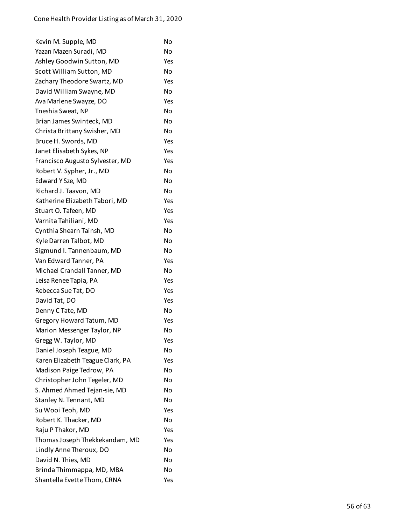| Kevin M. Supple, MD              | No        |
|----------------------------------|-----------|
| Yazan Mazen Suradi, MD           | No        |
| Ashley Goodwin Sutton, MD        | Yes       |
| Scott William Sutton, MD         | No        |
| Zachary Theodore Swartz, MD      | Yes       |
| David William Swayne, MD         | No        |
| Ava Marlene Swayze, DO           | Yes       |
| Tneshia Sweat, NP                | No        |
| Brian James Swinteck, MD         | No        |
| Christa Brittany Swisher, MD     | No        |
| Bruce H. Swords, MD              | Yes       |
| Janet Elisabeth Sykes, NP        | Yes       |
| Francisco Augusto Sylvester, MD  | Yes       |
| Robert V. Sypher, Jr., MD        | <b>No</b> |
| Edward Y Sze, MD                 | No        |
| Richard J. Taavon, MD            | No        |
| Katherine Elizabeth Tabori, MD   | Yes       |
| Stuart O. Tafeen, MD             | Yes       |
| Varnita Tahiliani, MD            | Yes       |
| Cynthia Shearn Tainsh, MD        | No        |
| Kyle Darren Talbot, MD           | No        |
| Sigmund I. Tannenbaum, MD        | No        |
| Van Edward Tanner, PA            | Yes       |
| Michael Crandall Tanner, MD      | No        |
| Leisa Renee Tapia, PA            | Yes       |
| Rebecca Sue Tat, DO              | Yes       |
| David Tat, DO                    | Yes       |
| Denny C Tate, MD                 | No        |
| Gregory Howard Tatum, MD         | Yes       |
| Marion Messenger Taylor, NP      | No        |
| Gregg W. Taylor, MD              | Yes       |
| Daniel Joseph Teague, MD         | No        |
| Karen Elizabeth Teague Clark, PA | Yes       |
| Madison Paige Tedrow, PA         | No        |
| Christopher John Tegeler, MD     | No        |
| S. Ahmed Ahmed Tejan-sie, MD     | No        |
| Stanley N. Tennant, MD           | No        |
| Su Wooi Teoh, MD                 | Yes       |
| Robert K. Thacker, MD            | No        |
| Raju P Thakor, MD                | Yes       |
| Thomas Joseph Thekkekandam, MD   | Yes       |
| Lindly Anne Theroux, DO          | No        |
| David N. Thies, MD               | No        |
| Brinda Thimmappa, MD, MBA        | No        |
| Shantella Evette Thom, CRNA      | Yes       |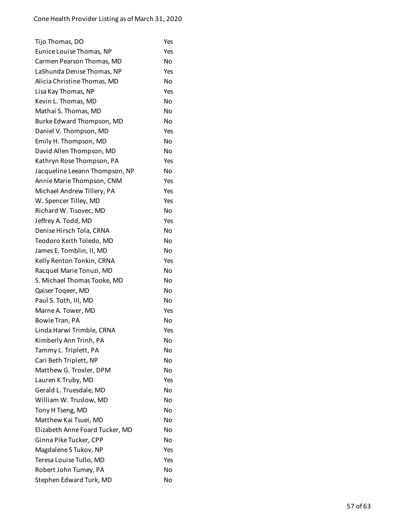| Tijo Thomas, DO                 | Yes       |
|---------------------------------|-----------|
| Eunice Louise Thomas, NP        | Yes       |
| Carmen Pearson Thomas, MD       | No        |
| LaShunda Denise Thomas, NP      | Yes       |
| Alicia Christine Thomas, MD     | <b>No</b> |
| Lisa Kay Thomas, NP             | Yes       |
| Kevin L. Thomas, MD             | No        |
| Mathai S. Thomas, MD            | No        |
| Burke Edward Thompson, MD       | No        |
| Daniel V. Thompson, MD          | Yes       |
| Emily H. Thompson, MD           | No        |
| David Allen Thompson, MD        | <b>No</b> |
| Kathryn Rose Thompson, PA       | Yes       |
| Jacqueline Leeann Thompson, NP  | No        |
| Annie Marie Thompson, CNM       | Yes       |
| Michael Andrew Tillery, PA      | Yes       |
| W. Spencer Tilley, MD           | Yes       |
| Richard W. Tisovec, MD          | No        |
| Jeffrey A. Todd, MD             | Yes       |
| Denise Hirsch Tola, CRNA        | <b>No</b> |
| Teodoro Keith Toledo, MD        | No        |
| James E. Tomblin, II, MD        | <b>No</b> |
| Kelly Renton Tonkin, CRNA       | Yes       |
| Racquel Marie Tonuzi, MD        | <b>No</b> |
| S. Michael Thomas Tooke, MD     | No        |
| Qaiser Togeer, MD               | <b>No</b> |
| Paul S. Toth, III, MD           | No        |
| Marne A. Tower, MD              | Yes       |
| Bowie Tran, PA                  | No        |
| Linda Harwi Trimble, CRNA       | Yes       |
| Kimberly Ann Trinh, PA          | No        |
| Tammy L. Triplett, PA           | No        |
| Cari Beth Triplett, NP          | No        |
| Matthew G. Troxler, DPM         | No        |
| Lauren K Truby, MD              | Yes       |
| Gerald L. Truesdale, MD         | No        |
| William W. Truslow, MD          | No        |
| Tony H Tseng, MD                | No        |
| Matthew Kai Tsuei, MD           | No        |
| Elizabeth Anne Foard Tucker, MD | No        |
| Ginna Pike Tucker, CPP          | No        |
| Magdalene S Tukov, NP           | Yes       |
| Teresa Louise Tullo, MD         | Yes       |
| Robert John Tumey, PA           | <b>No</b> |
| Stephen Edward Turk, MD         | No        |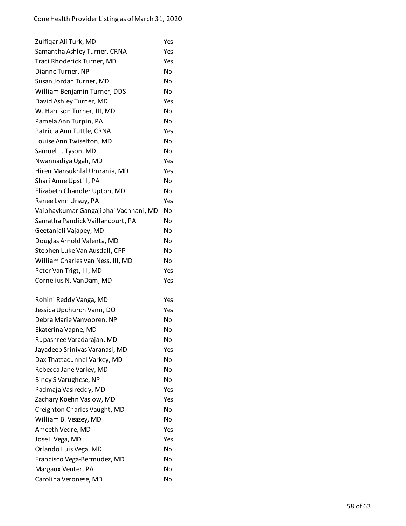| Zulfiqar Ali Turk, MD                 | Yes |
|---------------------------------------|-----|
| Samantha Ashley Turner, CRNA          | Yes |
| Traci Rhoderick Turner, MD            | Yes |
| Dianne Turner, NP                     | No  |
| Susan Jordan Turner, MD               | Nο  |
| William Benjamin Turner, DDS          | No  |
| David Ashley Turner, MD               | Yes |
| W. Harrison Turner, III, MD           | No  |
| Pamela Ann Turpin, PA                 | No  |
| Patricia Ann Tuttle, CRNA             | Yes |
| Louise Ann Twiselton, MD              | No  |
| Samuel L. Tyson, MD                   | No  |
| Nwannadiya Ugah, MD                   | Yes |
| Hiren Mansukhlal Umrania, MD          | Yes |
| Shari Anne Upstill, PA                | No  |
| Elizabeth Chandler Upton, MD          | No  |
| Renee Lynn Ursuy, PA                  | Yes |
| Vaibhavkumar Gangajibhai Vachhani, MD | No  |
| Samatha Pandick Vaillancourt, PA      | No  |
| Geetanjali Vajapey, MD                | No  |
| Douglas Arnold Valenta, MD            | No  |
| Stephen Luke Van Ausdall, CPP         | No  |
| William Charles Van Ness, III, MD     | No  |
| Peter Van Trigt, III, MD              | Yes |
| Cornelius N. VanDam, MD               | Yes |
| Rohini Reddy Vanga, MD                | Yes |
| Jessica Upchurch Vann, DO             | Yes |
| Debra Marie Vanvooren, NP             | No  |
| Ekaterina Vapne, MD                   | No  |
| Rupashree Varadarajan, MD             | No  |
| Jayadeep Srinivas Varanasi, MD        | Yes |
| Dax Thattacunnel Varkey, MD           | No  |
| Rebecca Jane Varley, MD               | No  |
| Bincy S Varughese, NP                 | No  |
| Padmaja Vasireddy, MD                 | Yes |
| Zachary Koehn Vaslow, MD              | Yes |
| Creighton Charles Vaught, MD          | No  |
| William B. Veazey, MD                 | No  |
| Ameeth Vedre, MD                      | Yes |
| Jose L Vega, MD                       | Yes |
| Orlando Luis Vega, MD                 | No  |
| Francisco Vega-Bermudez, MD           | No  |
| Margaux Venter, PA                    | No  |
| Carolina Veronese, MD                 | No  |
|                                       |     |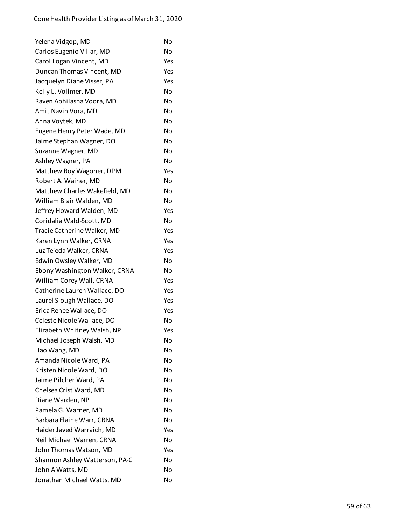| Yelena Vidgop, MD              | No        |
|--------------------------------|-----------|
| Carlos Eugenio Villar, MD      | No        |
| Carol Logan Vincent, MD        | Yes       |
| Duncan Thomas Vincent, MD      | Yes       |
| Jacquelyn Diane Visser, PA     | Yes       |
| Kelly L. Vollmer, MD           | No        |
| Raven Abhilasha Voora, MD      | <b>No</b> |
| Amit Navin Vora, MD            | No        |
| Anna Voytek, MD                | No        |
| Eugene Henry Peter Wade, MD    | No        |
| Jaime Stephan Wagner, DO       | No        |
| Suzanne Wagner, MD             | No        |
| Ashley Wagner, PA              | No        |
| Matthew Roy Wagoner, DPM       | Yes       |
| Robert A. Wainer, MD           | No        |
| Matthew Charles Wakefield, MD  | No        |
| William Blair Walden, MD       | No        |
| Jeffrey Howard Walden, MD      | Yes       |
| Coridalia Wald-Scott, MD       | No        |
| Tracie Catherine Walker, MD    | Yes       |
| Karen Lynn Walker, CRNA        | Yes       |
| Luz Tejeda Walker, CRNA        | Yes       |
| Edwin Owsley Walker, MD        | No        |
| Ebony Washington Walker, CRNA  | No        |
| William Corey Wall, CRNA       | Yes       |
| Catherine Lauren Wallace, DO   | Yes       |
| Laurel Slough Wallace, DO      | Yes       |
| Erica Renee Wallace, DO        | Yes       |
| Celeste Nicole Wallace, DO     | No        |
| Elizabeth Whitney Walsh, NP    | Yes       |
| Michael Joseph Walsh, MD       | No        |
| Hao Wang, MD                   | No        |
| Amanda Nicole Ward, PA         | No        |
| Kristen Nicole Ward, DO        | No        |
| Jaime Pilcher Ward, PA         | No        |
| Chelsea Crist Ward, MD         | No        |
| Diane Warden, NP               | No        |
| Pamela G. Warner, MD           | No        |
| Barbara Elaine Warr, CRNA      | No        |
| Haider Javed Warraich, MD      | Yes       |
| Neil Michael Warren, CRNA      | No        |
| John Thomas Watson, MD         | Yes       |
| Shannon Ashley Watterson, PA-C | No        |
| John A Watts, MD               | No        |
| Jonathan Michael Watts, MD     | No        |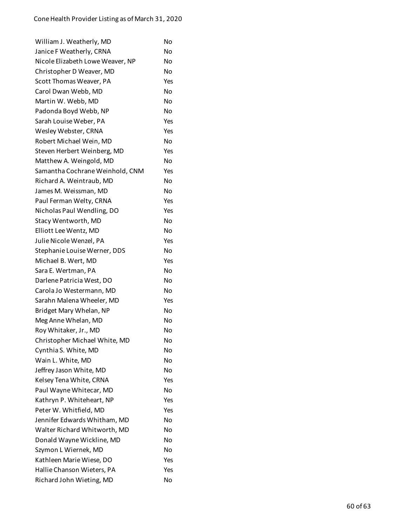| William J. Weatherly, MD         | No  |
|----------------------------------|-----|
| Janice F Weatherly, CRNA         | No  |
| Nicole Elizabeth Lowe Weaver, NP | No  |
| Christopher D Weaver, MD         | No  |
| Scott Thomas Weaver, PA          | Yes |
| Carol Dwan Webb, MD              | No  |
| Martin W. Webb, MD               | No  |
| Padonda Boyd Webb, NP            | No  |
| Sarah Louise Weber, PA           | Yes |
| Wesley Webster, CRNA             | Yes |
| Robert Michael Wein, MD          | No  |
| Steven Herbert Weinberg, MD      | Yes |
| Matthew A. Weingold, MD          | No  |
| Samantha Cochrane Weinhold, CNM  | Yes |
| Richard A. Weintraub, MD         | No  |
| James M. Weissman, MD            | No  |
| Paul Ferman Welty, CRNA          | Yes |
| Nicholas Paul Wendling, DO       | Yes |
| Stacy Wentworth, MD              | No  |
| Elliott Lee Wentz, MD            | No  |
| Julie Nicole Wenzel, PA          | Yes |
| Stephanie Louise Werner, DDS     | No  |
| Michael B. Wert, MD              | Yes |
| Sara E. Wertman, PA              | No  |
| Darlene Patricia West, DO        | No  |
| Carola Jo Westermann, MD         | No  |
| Sarahn Malena Wheeler, MD        | Yes |
| Bridget Mary Whelan, NP          | No  |
| Meg Anne Whelan, MD              | No  |
| Roy Whitaker, Jr., MD            | No  |
| Christopher Michael White, MD    | No  |
| Cynthia S. White, MD             | No  |
| Wain L. White, MD                | No  |
| Jeffrey Jason White, MD          | No  |
| Kelsey Tena White, CRNA          | Yes |
| Paul Wayne Whitecar, MD          | No  |
| Kathryn P. Whiteheart, NP        | Yes |
| Peter W. Whitfield, MD           | Yes |
| Jennifer Edwards Whitham, MD     | No  |
| Walter Richard Whitworth, MD     | No  |
| Donald Wayne Wickline, MD        | No  |
| Szymon L Wiernek, MD             | No  |
| Kathleen Marie Wiese, DO         | Yes |
| Hallie Chanson Wieters, PA       | Yes |
| Richard John Wieting, MD         | No  |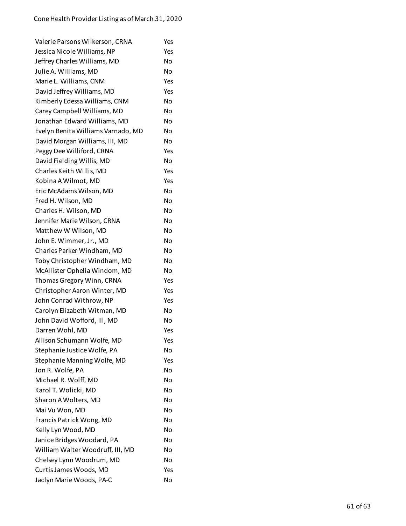| Valerie Parsons Wilkerson, CRNA    | Yes |
|------------------------------------|-----|
| Jessica Nicole Williams, NP        | Yes |
| Jeffrey Charles Williams, MD       | No  |
| Julie A. Williams, MD              | No  |
| Marie L. Williams, CNM             | Yes |
| David Jeffrey Williams, MD         | Yes |
| Kimberly Edessa Williams, CNM      | No  |
| Carey Campbell Williams, MD        | No  |
| Jonathan Edward Williams, MD       | Nο  |
| Evelyn Benita Williams Varnado, MD | No  |
| David Morgan Williams, III, MD     | No  |
| Peggy Dee Williford, CRNA          | Yes |
| David Fielding Willis, MD          | No  |
| Charles Keith Willis, MD           | Yes |
| Kobina A Wilmot, MD                | Yes |
| Eric McAdams Wilson, MD            | No  |
| Fred H. Wilson, MD                 | No  |
| Charles H. Wilson, MD              | No  |
| Jennifer Marie Wilson, CRNA        | No  |
| Matthew W Wilson, MD               | No  |
| John E. Wimmer, Jr., MD            | No  |
| Charles Parker Windham, MD         | No  |
| Toby Christopher Windham, MD       | No  |
| McAllister Ophelia Windom, MD      | No  |
| Thomas Gregory Winn, CRNA          | Yes |
| Christopher Aaron Winter, MD       | Yes |
| John Conrad Withrow, NP            | Yes |
| Carolyn Elizabeth Witman, MD       | No  |
| John David Wofford, III, MD        | No  |
| Darren Wohl, MD                    | Yes |
| Allison Schumann Wolfe, MD         | Yes |
| Stephanie Justice Wolfe, PA        | No  |
| Stephanie Manning Wolfe, MD        | Yes |
| Jon R. Wolfe, PA                   | No  |
| Michael R. Wolff, MD               | No  |
| Karol T. Wolicki, MD               | No  |
| Sharon A Wolters, MD               | No  |
| Mai Vu Won, MD                     | No  |
| Francis Patrick Wong, MD           | No  |
| Kelly Lyn Wood, MD                 | No  |
| Janice Bridges Woodard, PA         | No  |
| William Walter Woodruff, III, MD   | No  |
| Chelsey Lynn Woodrum, MD           | No  |
| Curtis James Woods, MD             | Yes |
| Jaclyn Marie Woods, PA-C           | No  |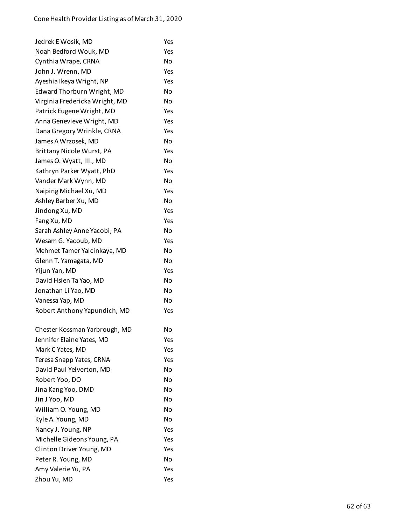| Jedrek E Wosik, MD             | Yes       |
|--------------------------------|-----------|
| Noah Bedford Wouk, MD          | Yes       |
| Cynthia Wrape, CRNA            | No        |
| John J. Wrenn, MD              | Yes       |
| Ayeshia Ikeya Wright, NP       | Yes       |
| Edward Thorburn Wright, MD     | No        |
| Virginia Fredericka Wright, MD | No        |
| Patrick Eugene Wright, MD      | Yes       |
| Anna Genevieve Wright, MD      | Yes       |
| Dana Gregory Wrinkle, CRNA     | Yes       |
| James A Wrzosek, MD            | No        |
| Brittany Nicole Wurst, PA      | Yes       |
| James O. Wyatt, III., MD       | <b>No</b> |
| Kathryn Parker Wyatt, PhD      | Yes       |
| Vander Mark Wynn, MD           | No        |
| Naiping Michael Xu, MD         | Yes       |
| Ashley Barber Xu, MD           | No        |
| Jindong Xu, MD                 | Yes       |
| Fang Xu, MD                    | Yes       |
| Sarah Ashley Anne Yacobi, PA   | No        |
| Wesam G. Yacoub, MD            | Yes       |
| Mehmet Tamer Yalcinkaya, MD    | No        |
| Glenn T. Yamagata, MD          | No        |
| Yijun Yan, MD                  | Yes       |
| David Hsien Ta Yao, MD         | No        |
| Jonathan Li Yao, MD            | No        |
| Vanessa Yap, MD                | No        |
| Robert Anthony Yapundich, MD   | Yes       |
| Chester Kossman Yarbrough, MD  | No        |
| Jennifer Elaine Yates, MD      | Yes       |
| Mark C Yates, MD               | Yes       |
| Teresa Snapp Yates, CRNA       | Yes       |
| David Paul Yelverton, MD       | No        |
| Robert Yoo, DO                 | No        |
| Jina Kang Yoo, DMD             | No        |
| Jin J Yoo, MD                  | No        |
| William O. Young, MD           | No        |
| Kyle A. Young, MD              | No        |
| Nancy J. Young, NP             | Yes       |
| Michelle Gideons Young, PA     | Yes       |
| Clinton Driver Young, MD       | Yes       |
| Peter R. Young, MD             | No        |
| Amy Valerie Yu, PA             | Yes       |
| Zhou Yu, MD                    | Yes       |